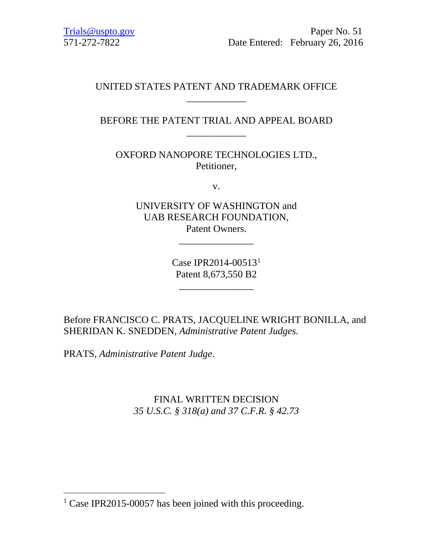Trials@uspto.gov 571-272-7822

 Paper No. 51 Date Entered: February 26, 2016

# UNITED STATES PATENT AND TRADEMARK OFFICE \_\_\_\_\_\_\_\_\_\_\_\_

# BEFORE THE PATENT TRIAL AND APPEAL BOARD \_\_\_\_\_\_\_\_\_\_\_\_

OXFORD NANOPORE TECHNOLOGIES LTD., Petitioner,

v.

UNIVERSITY OF WASHINGTON and UAB RESEARCH FOUNDATION, Patent Owners.

\_\_\_\_\_\_\_\_\_\_\_\_\_\_\_

Case IPR2014-00513[1](#page-0-0) Patent 8,673,550 B2

\_\_\_\_\_\_\_\_\_\_\_\_\_\_\_

Before FRANCISCO C. PRATS, JACQUELINE WRIGHT BONILLA, and SHERIDAN K. SNEDDEN, *Administrative Patent Judges.* 

PRATS, *Administrative Patent Judge*.

FINAL WRITTEN DECISION *35 U.S.C. § 318(a) and 37 C.F.R. § 42.73*

<span id="page-0-0"></span><sup>&</sup>lt;sup>1</sup> Case IPR2015-00057 has been joined with this proceeding.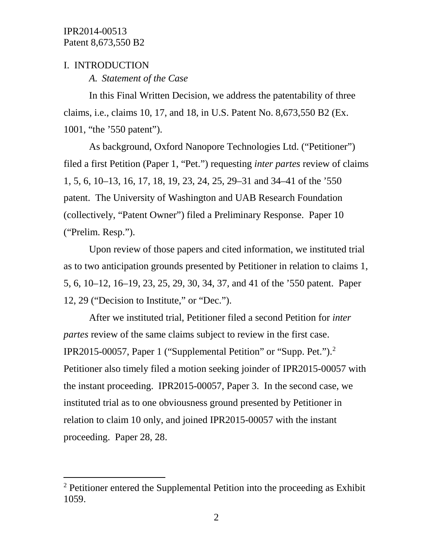## I. INTRODUCTION

*A. Statement of the Case*

In this Final Written Decision, we address the patentability of three claims, i.e., claims 10, 17, and 18, in U.S. Patent No. 8,673,550 B2 (Ex. 1001, "the '550 patent").

As background, Oxford Nanopore Technologies Ltd. ("Petitioner") filed a first Petition (Paper 1, "Pet.") requesting *inter partes* review of claims 1, 5, 6, 10–13, 16, 17, 18, 19, 23, 24, 25, 29–31 and 34–41 of the '550 patent. The University of Washington and UAB Research Foundation (collectively, "Patent Owner") filed a Preliminary Response. Paper 10 ("Prelim. Resp.").

Upon review of those papers and cited information, we instituted trial as to two anticipation grounds presented by Petitioner in relation to claims 1, 5, 6, 10–12, 16–19, 23, 25, 29, 30, 34, 37, and 41 of the '550 patent. Paper 12, 29 ("Decision to Institute," or "Dec.").

After we instituted trial, Petitioner filed a second Petition for *inter partes* review of the same claims subject to review in the first case. IPR2015-00057, Paper 1 ("Supplemental Petition" or "Supp. Pet.")[.2](#page-1-0) Petitioner also timely filed a motion seeking joinder of IPR2015-00057 with the instant proceeding. IPR2015-00057, Paper 3. In the second case, we instituted trial as to one obviousness ground presented by Petitioner in relation to claim 10 only, and joined IPR2015-00057 with the instant proceeding. Paper 28, 28.

<span id="page-1-0"></span> <sup>2</sup> Petitioner entered the Supplemental Petition into the proceeding as Exhibit 1059.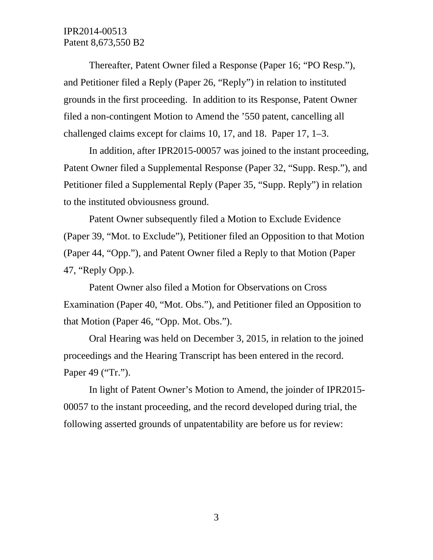Thereafter, Patent Owner filed a Response (Paper 16; "PO Resp."), and Petitioner filed a Reply (Paper 26, "Reply") in relation to instituted grounds in the first proceeding. In addition to its Response, Patent Owner filed a non-contingent Motion to Amend the '550 patent, cancelling all challenged claims except for claims 10, 17, and 18. Paper 17, 1–3.

In addition, after IPR2015-00057 was joined to the instant proceeding, Patent Owner filed a Supplemental Response (Paper 32, "Supp. Resp."), and Petitioner filed a Supplemental Reply (Paper 35, "Supp. Reply") in relation to the instituted obviousness ground.

Patent Owner subsequently filed a Motion to Exclude Evidence (Paper 39, "Mot. to Exclude"), Petitioner filed an Opposition to that Motion (Paper 44, "Opp."), and Patent Owner filed a Reply to that Motion (Paper 47, "Reply Opp.).

Patent Owner also filed a Motion for Observations on Cross Examination (Paper 40, "Mot. Obs."), and Petitioner filed an Opposition to that Motion (Paper 46, "Opp. Mot. Obs.").

Oral Hearing was held on December 3, 2015, in relation to the joined proceedings and the Hearing Transcript has been entered in the record. Paper 49 ("Tr.").

In light of Patent Owner's Motion to Amend, the joinder of IPR2015- 00057 to the instant proceeding, and the record developed during trial, the following asserted grounds of unpatentability are before us for review: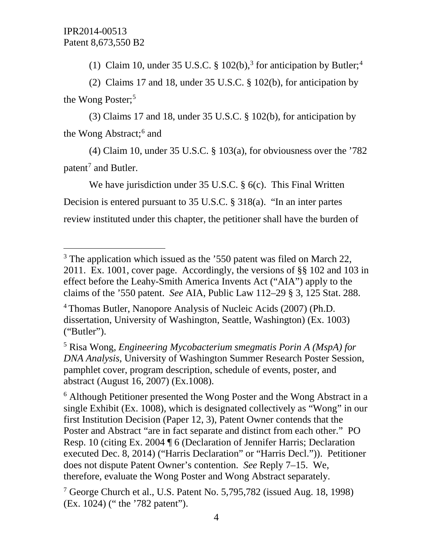(1) Claim 10, under [3](#page-3-0)5 U.S.C. § 102(b),<sup>3</sup> for anticipation by Butler;<sup>[4](#page-3-1)</sup>

(2) Claims 17 and 18, under 35 U.S.C. § 102(b), for anticipation by the Wong Poster;<sup>[5](#page-3-2)</sup>

(3) Claims 17 and 18, under 35 U.S.C. § 102(b), for anticipation by the Wong Abstract;<sup>[6](#page-3-3)</sup> and

(4) Claim 10, under 35 U.S.C. § 103(a), for obviousness over the '782 patent<sup>[7](#page-3-4)</sup> and Butler.

We have jurisdiction under 35 U.S.C. § 6(c). This Final Written Decision is entered pursuant to 35 U.S.C. § 318(a). "In an inter partes review instituted under this chapter, the petitioner shall have the burden of

<span id="page-3-2"></span><sup>5</sup> Risa Wong, *Engineering Mycobacterium smegmatis Porin A (MspA) for DNA Analysis*, University of Washington Summer Research Poster Session, pamphlet cover, program description, schedule of events, poster, and abstract (August 16, 2007) (Ex.1008).

<span id="page-3-3"></span><sup>6</sup> Although Petitioner presented the Wong Poster and the Wong Abstract in a single Exhibit (Ex. 1008), which is designated collectively as "Wong" in our first Institution Decision (Paper 12, 3), Patent Owner contends that the Poster and Abstract "are in fact separate and distinct from each other." PO Resp. 10 (citing Ex. 2004 ¶ 6 (Declaration of Jennifer Harris; Declaration executed Dec. 8, 2014) ("Harris Declaration" or "Harris Decl.")). Petitioner does not dispute Patent Owner's contention. *See* Reply 7–15. We, therefore, evaluate the Wong Poster and Wong Abstract separately.

<span id="page-3-0"></span> $3$  The application which issued as the  $350$  patent was filed on March 22, 2011. Ex. 1001, cover page. Accordingly, the versions of §§ 102 and 103 in effect before the Leahy-Smith America Invents Act ("AIA") apply to the claims of the '550 patent. *See* AIA, Public Law 112–29 § 3, 125 Stat. 288.

<span id="page-3-1"></span><sup>4</sup> Thomas Butler, Nanopore Analysis of Nucleic Acids (2007) (Ph.D. dissertation, University of Washington, Seattle, Washington) (Ex. 1003) ("Butler").

<span id="page-3-4"></span><sup>7</sup> George Church et al., U.S. Patent No. 5,795,782 (issued Aug. 18, 1998) (Ex. 1024) (" the '782 patent").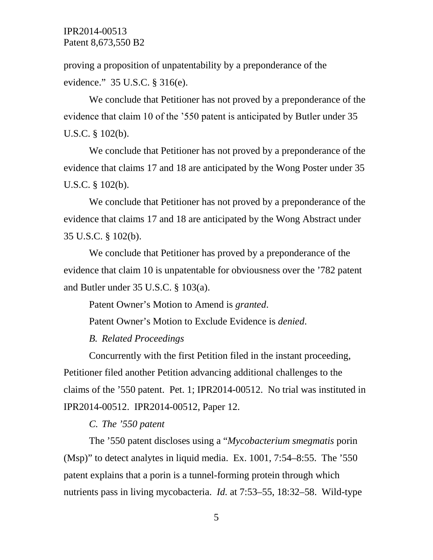proving a proposition of unpatentability by a preponderance of the evidence." 35 U.S.C. § 316(e).

We conclude that Petitioner has not proved by a preponderance of the evidence that claim 10 of the '550 patent is anticipated by Butler under 35 U.S.C. § 102(b).

We conclude that Petitioner has not proved by a preponderance of the evidence that claims 17 and 18 are anticipated by the Wong Poster under 35 U.S.C. § 102(b).

We conclude that Petitioner has not proved by a preponderance of the evidence that claims 17 and 18 are anticipated by the Wong Abstract under 35 U.S.C. § 102(b).

We conclude that Petitioner has proved by a preponderance of the evidence that claim 10 is unpatentable for obviousness over the '782 patent and Butler under 35 U.S.C. § 103(a).

Patent Owner's Motion to Amend is *granted*.

Patent Owner's Motion to Exclude Evidence is *denied*.

*B. Related Proceedings*

Concurrently with the first Petition filed in the instant proceeding, Petitioner filed another Petition advancing additional challenges to the claims of the '550 patent. Pet. 1; IPR2014-00512. No trial was instituted in IPR2014-00512. IPR2014-00512, Paper 12.

*C. The '550 patent*

The '550 patent discloses using a "*Mycobacterium smegmatis* porin (Msp)" to detect analytes in liquid media. Ex. 1001, 7:54–8:55. The '550 patent explains that a porin is a tunnel-forming protein through which nutrients pass in living mycobacteria. *Id.* at 7:53–55, 18:32–58. Wild-type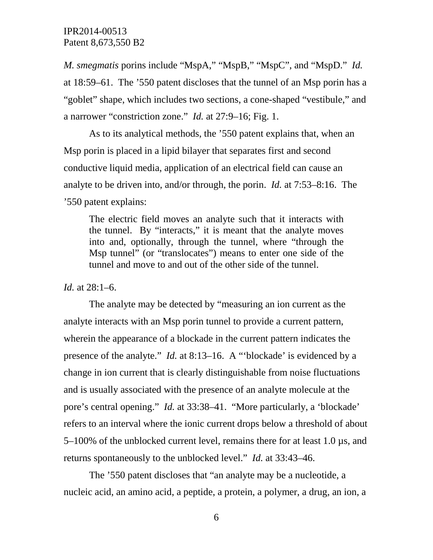*M. smegmatis* porins include "MspA," "MspB," "MspC", and "MspD." *Id.*  at 18:59–61. The '550 patent discloses that the tunnel of an Msp porin has a "goblet" shape, which includes two sections, a cone-shaped "vestibule," and a narrower "constriction zone." *Id.* at 27:9–16; Fig. 1.

As to its analytical methods, the '550 patent explains that, when an Msp porin is placed in a lipid bilayer that separates first and second conductive liquid media, application of an electrical field can cause an analyte to be driven into, and/or through, the porin. *Id.* at 7:53–8:16. The '550 patent explains:

The electric field moves an analyte such that it interacts with the tunnel. By "interacts," it is meant that the analyte moves into and, optionally, through the tunnel, where "through the Msp tunnel" (or "translocates") means to enter one side of the tunnel and move to and out of the other side of the tunnel.

#### *Id.* at 28:1–6.

The analyte may be detected by "measuring an ion current as the analyte interacts with an Msp porin tunnel to provide a current pattern, wherein the appearance of a blockade in the current pattern indicates the presence of the analyte." *Id.* at 8:13–16. A "'blockade' is evidenced by a change in ion current that is clearly distinguishable from noise fluctuations and is usually associated with the presence of an analyte molecule at the pore's central opening." *Id.* at 33:38–41. "More particularly, a 'blockade' refers to an interval where the ionic current drops below a threshold of about 5–100% of the unblocked current level, remains there for at least 1.0 µs, and returns spontaneously to the unblocked level." *Id.* at 33:43–46.

The '550 patent discloses that "an analyte may be a nucleotide, a nucleic acid, an amino acid, a peptide, a protein, a polymer, a drug, an ion, a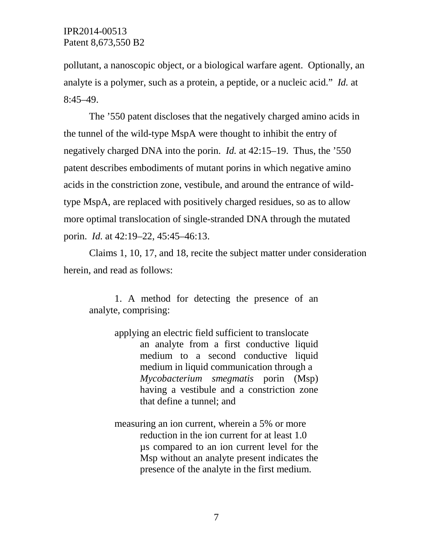pollutant, a nanoscopic object, or a biological warfare agent. Optionally, an analyte is a polymer, such as a protein, a peptide, or a nucleic acid." *Id.* at 8:45–49.

The '550 patent discloses that the negatively charged amino acids in the tunnel of the wild-type MspA were thought to inhibit the entry of negatively charged DNA into the porin. *Id.* at 42:15–19. Thus, the '550 patent describes embodiments of mutant porins in which negative amino acids in the constriction zone, vestibule, and around the entrance of wildtype MspA, are replaced with positively charged residues, so as to allow more optimal translocation of single-stranded DNA through the mutated porin. *Id.* at 42:19–22, 45:45–46:13.

Claims 1, 10, 17, and 18, recite the subject matter under consideration herein, and read as follows:

1. A method for detecting the presence of an analyte, comprising:

- applying an electric field sufficient to translocate an analyte from a first conductive liquid medium to a second conductive liquid medium in liquid communication through a *Mycobacterium smegmatis* porin (Msp) having a vestibule and a constriction zone that define a tunnel; and
- measuring an ion current, wherein a 5% or more reduction in the ion current for at least 1.0 µs compared to an ion current level for the Msp without an analyte present indicates the presence of the analyte in the first medium.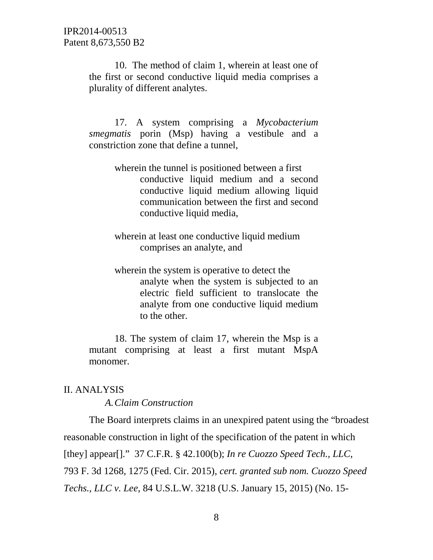10.The method of claim 1, wherein at least one of the first or second conductive liquid media comprises a plurality of different analytes.

17. A system comprising a *Mycobacterium smegmatis* porin (Msp) having a vestibule and a constriction zone that define a tunnel,

- wherein the tunnel is positioned between a first conductive liquid medium and a second conductive liquid medium allowing liquid communication between the first and second conductive liquid media,
- wherein at least one conductive liquid medium comprises an analyte, and
- wherein the system is operative to detect the analyte when the system is subjected to an electric field sufficient to translocate the analyte from one conductive liquid medium to the other.

18. The system of claim 17, wherein the Msp is a mutant comprising at least a first mutant MspA monomer.

#### II. ANALYSIS

*A.Claim Construction*

The Board interprets claims in an unexpired patent using the "broadest reasonable construction in light of the specification of the patent in which [they] appear[]." 37 C.F.R. § 42.100(b); *In re Cuozzo Speed Tech., LLC*, 793 F. 3d 1268, 1275 (Fed. Cir. 2015), *cert. granted sub nom. Cuozzo Speed Techs., LLC v. Lee*, 84 U.S.L.W. 3218 (U.S. January 15, 2015) (No. 15-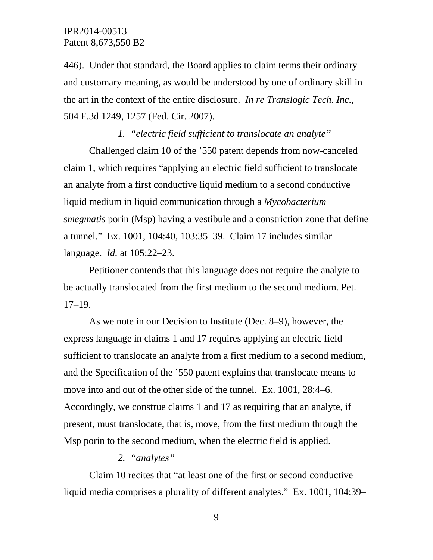446). Under that standard, the Board applies to claim terms their ordinary and customary meaning, as would be understood by one of ordinary skill in the art in the context of the entire disclosure. *In re Translogic Tech. Inc.*, 504 F.3d 1249, 1257 (Fed. Cir. 2007).

*1. "electric field sufficient to translocate an analyte"* Challenged claim 10 of the '550 patent depends from now-canceled claim 1, which requires "applying an electric field sufficient to translocate an analyte from a first conductive liquid medium to a second conductive liquid medium in liquid communication through a *Mycobacterium smegmatis* porin (Msp) having a vestibule and a constriction zone that define a tunnel." Ex. 1001, 104:40, 103:35–39. Claim 17 includes similar language. *Id.* at 105:22–23.

Petitioner contends that this language does not require the analyte to be actually translocated from the first medium to the second medium. Pet. 17–19.

As we note in our Decision to Institute (Dec. 8–9), however, the express language in claims 1 and 17 requires applying an electric field sufficient to translocate an analyte from a first medium to a second medium, and the Specification of the '550 patent explains that translocate means to move into and out of the other side of the tunnel. Ex. 1001, 28:4–6. Accordingly, we construe claims 1 and 17 as requiring that an analyte, if present, must translocate, that is, move, from the first medium through the Msp porin to the second medium, when the electric field is applied.

#### *2. "analytes"*

Claim 10 recites that "at least one of the first or second conductive liquid media comprises a plurality of different analytes." Ex. 1001, 104:39–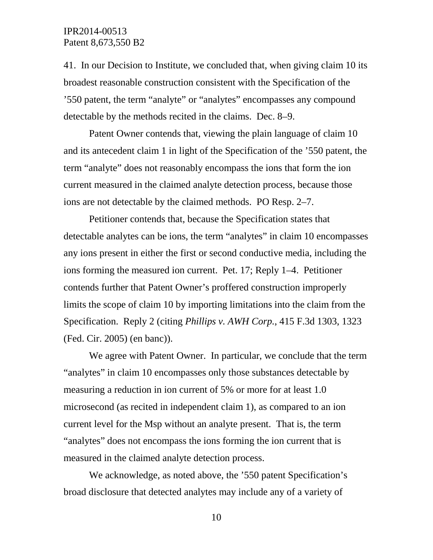41. In our Decision to Institute, we concluded that, when giving claim 10 its broadest reasonable construction consistent with the Specification of the '550 patent, the term "analyte" or "analytes" encompasses any compound detectable by the methods recited in the claims. Dec. 8–9.

Patent Owner contends that, viewing the plain language of claim 10 and its antecedent claim 1 in light of the Specification of the '550 patent, the term "analyte" does not reasonably encompass the ions that form the ion current measured in the claimed analyte detection process, because those ions are not detectable by the claimed methods. PO Resp. 2–7.

Petitioner contends that, because the Specification states that detectable analytes can be ions, the term "analytes" in claim 10 encompasses any ions present in either the first or second conductive media, including the ions forming the measured ion current. Pet. 17; Reply 1–4. Petitioner contends further that Patent Owner's proffered construction improperly limits the scope of claim 10 by importing limitations into the claim from the Specification. Reply 2 (citing *Phillips v. AWH Corp.*, 415 F.3d 1303, 1323 (Fed. Cir. 2005) (en banc)).

We agree with Patent Owner. In particular, we conclude that the term "analytes" in claim 10 encompasses only those substances detectable by measuring a reduction in ion current of 5% or more for at least 1.0 microsecond (as recited in independent claim 1), as compared to an ion current level for the Msp without an analyte present. That is, the term "analytes" does not encompass the ions forming the ion current that is measured in the claimed analyte detection process.

We acknowledge, as noted above, the '550 patent Specification's broad disclosure that detected analytes may include any of a variety of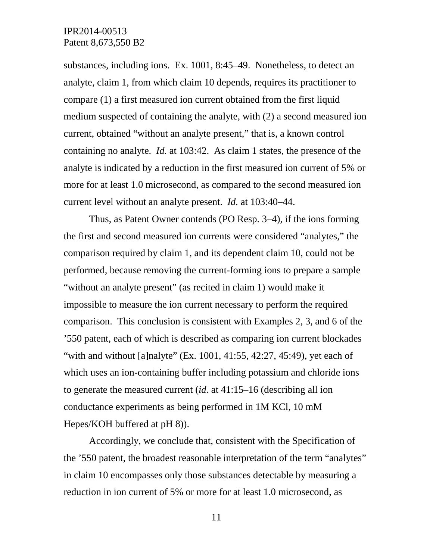substances, including ions. Ex. 1001, 8:45–49. Nonetheless, to detect an analyte, claim 1, from which claim 10 depends, requires its practitioner to compare (1) a first measured ion current obtained from the first liquid medium suspected of containing the analyte, with (2) a second measured ion current, obtained "without an analyte present," that is, a known control containing no analyte. *Id.* at 103:42. As claim 1 states, the presence of the analyte is indicated by a reduction in the first measured ion current of 5% or more for at least 1.0 microsecond, as compared to the second measured ion current level without an analyte present. *Id.* at 103:40–44.

Thus, as Patent Owner contends (PO Resp. 3–4), if the ions forming the first and second measured ion currents were considered "analytes," the comparison required by claim 1, and its dependent claim 10, could not be performed, because removing the current-forming ions to prepare a sample "without an analyte present" (as recited in claim 1) would make it impossible to measure the ion current necessary to perform the required comparison. This conclusion is consistent with Examples 2, 3, and 6 of the '550 patent, each of which is described as comparing ion current blockades "with and without [a]nalyte" (Ex. 1001,  $41:55$ ,  $42:27$ ,  $45:49$ ), yet each of which uses an ion-containing buffer including potassium and chloride ions to generate the measured current (*id.* at 41:15–16 (describing all ion conductance experiments as being performed in 1M KCl, 10 mM Hepes/KOH buffered at pH 8)).

Accordingly, we conclude that, consistent with the Specification of the '550 patent, the broadest reasonable interpretation of the term "analytes" in claim 10 encompasses only those substances detectable by measuring a reduction in ion current of 5% or more for at least 1.0 microsecond, as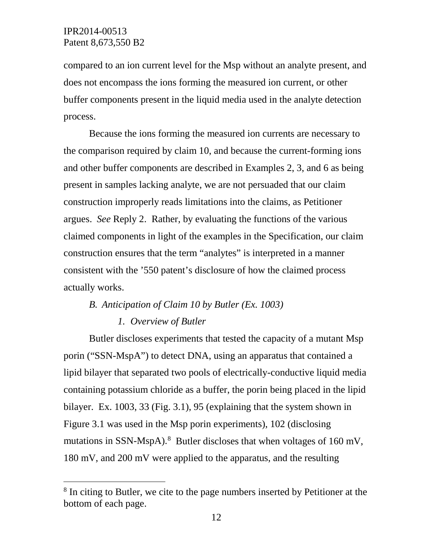compared to an ion current level for the Msp without an analyte present, and does not encompass the ions forming the measured ion current, or other buffer components present in the liquid media used in the analyte detection process.

Because the ions forming the measured ion currents are necessary to the comparison required by claim 10, and because the current-forming ions and other buffer components are described in Examples 2, 3, and 6 as being present in samples lacking analyte, we are not persuaded that our claim construction improperly reads limitations into the claims, as Petitioner argues. *See* Reply 2. Rather, by evaluating the functions of the various claimed components in light of the examples in the Specification, our claim construction ensures that the term "analytes" is interpreted in a manner consistent with the '550 patent's disclosure of how the claimed process actually works.

# *B. Anticipation of Claim 10 by Butler (Ex. 1003)*

## *1. Overview of Butler*

Butler discloses experiments that tested the capacity of a mutant Msp porin ("SSN-MspA") to detect DNA, using an apparatus that contained a lipid bilayer that separated two pools of electrically-conductive liquid media containing potassium chloride as a buffer, the porin being placed in the lipid bilayer. Ex. 1003, 33 (Fig. 3.1), 95 (explaining that the system shown in Figure 3.1 was used in the Msp porin experiments), 102 (disclosing mutations in SSN-MspA).<sup>[8](#page-11-0)</sup> Butler discloses that when voltages of 160 mV, 180 mV, and 200 mV were applied to the apparatus, and the resulting

<span id="page-11-0"></span><sup>&</sup>lt;sup>8</sup> In citing to Butler, we cite to the page numbers inserted by Petitioner at the bottom of each page.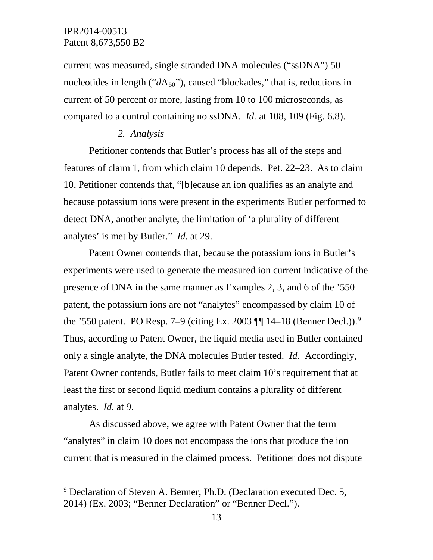current was measured, single stranded DNA molecules ("ssDNA") 50 nucleotides in length (" $dA_{50}$ "), caused "blockades," that is, reductions in current of 50 percent or more, lasting from 10 to 100 microseconds, as compared to a control containing no ssDNA. *Id.* at 108, 109 (Fig. 6.8).

#### *2. Analysis*

Petitioner contends that Butler's process has all of the steps and features of claim 1, from which claim 10 depends. Pet. 22–23. As to claim 10, Petitioner contends that, "[b]ecause an ion qualifies as an analyte and because potassium ions were present in the experiments Butler performed to detect DNA, another analyte, the limitation of 'a plurality of different analytes' is met by Butler." *Id.* at 29.

Patent Owner contends that, because the potassium ions in Butler's experiments were used to generate the measured ion current indicative of the presence of DNA in the same manner as Examples 2, 3, and 6 of the '550 patent, the potassium ions are not "analytes" encompassed by claim 10 of the '550 patent. PO Resp. 7–[9](#page-12-0) (citing Ex. 2003  $\P\P$  14–18 (Benner Decl.)).<sup>9</sup> Thus, according to Patent Owner, the liquid media used in Butler contained only a single analyte, the DNA molecules Butler tested. *Id*. Accordingly, Patent Owner contends, Butler fails to meet claim 10's requirement that at least the first or second liquid medium contains a plurality of different analytes. *Id.* at 9.

As discussed above, we agree with Patent Owner that the term "analytes" in claim 10 does not encompass the ions that produce the ion current that is measured in the claimed process. Petitioner does not dispute

<span id="page-12-0"></span> <sup>9</sup> Declaration of Steven A. Benner, Ph.D. (Declaration executed Dec. 5, 2014) (Ex. 2003; "Benner Declaration" or "Benner Decl.").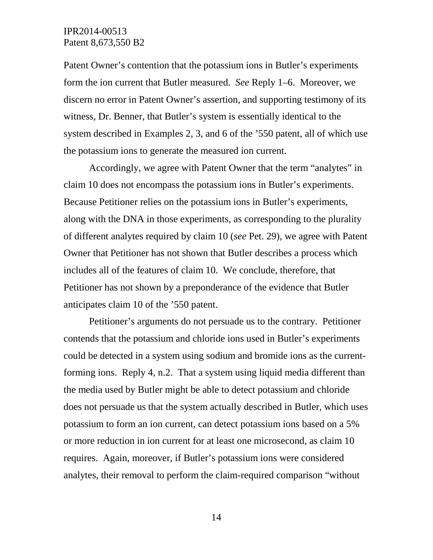Patent Owner's contention that the potassium ions in Butler's experiments form the ion current that Butler measured. *See* Reply 1–6. Moreover, we discern no error in Patent Owner's assertion, and supporting testimony of its witness, Dr. Benner, that Butler's system is essentially identical to the system described in Examples 2, 3, and 6 of the '550 patent, all of which use the potassium ions to generate the measured ion current.

Accordingly, we agree with Patent Owner that the term "analytes" in claim 10 does not encompass the potassium ions in Butler's experiments. Because Petitioner relies on the potassium ions in Butler's experiments, along with the DNA in those experiments, as corresponding to the plurality of different analytes required by claim 10 (*see* Pet. 29), we agree with Patent Owner that Petitioner has not shown that Butler describes a process which includes all of the features of claim 10. We conclude, therefore, that Petitioner has not shown by a preponderance of the evidence that Butler anticipates claim 10 of the '550 patent.

Petitioner's arguments do not persuade us to the contrary. Petitioner contends that the potassium and chloride ions used in Butler's experiments could be detected in a system using sodium and bromide ions as the currentforming ions. Reply 4, n.2. That a system using liquid media different than the media used by Butler might be able to detect potassium and chloride does not persuade us that the system actually described in Butler, which uses potassium to form an ion current, can detect potassium ions based on a 5% or more reduction in ion current for at least one microsecond, as claim 10 requires. Again, moreover, if Butler's potassium ions were considered analytes, their removal to perform the claim-required comparison "without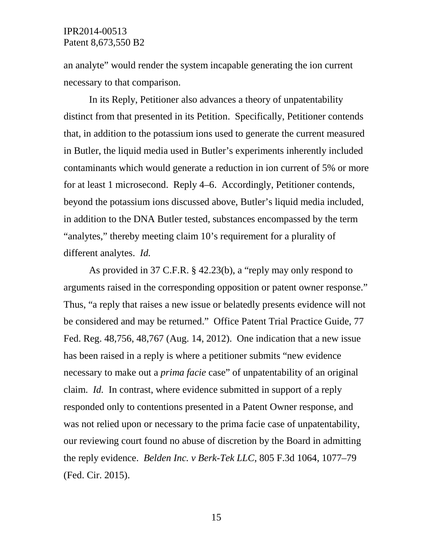an analyte" would render the system incapable generating the ion current necessary to that comparison.

In its Reply, Petitioner also advances a theory of unpatentability distinct from that presented in its Petition. Specifically, Petitioner contends that, in addition to the potassium ions used to generate the current measured in Butler, the liquid media used in Butler's experiments inherently included contaminants which would generate a reduction in ion current of 5% or more for at least 1 microsecond. Reply 4–6. Accordingly, Petitioner contends, beyond the potassium ions discussed above, Butler's liquid media included, in addition to the DNA Butler tested, substances encompassed by the term "analytes," thereby meeting claim 10's requirement for a plurality of different analytes. *Id.*

As provided in 37 C.F.R. § 42.23(b), a "reply may only respond to arguments raised in the corresponding opposition or patent owner response." Thus, "a reply that raises a new issue or belatedly presents evidence will not be considered and may be returned." Office Patent Trial Practice Guide, 77 Fed. Reg. 48,756, 48,767 (Aug. 14, 2012). One indication that a new issue has been raised in a reply is where a petitioner submits "new evidence necessary to make out a *prima facie* case" of unpatentability of an original claim. *Id.* In contrast, where evidence submitted in support of a reply responded only to contentions presented in a Patent Owner response, and was not relied upon or necessary to the prima facie case of unpatentability, our reviewing court found no abuse of discretion by the Board in admitting the reply evidence. *Belden Inc. v Berk-Tek LLC*, 805 F.3d 1064, 1077–79 (Fed. Cir. 2015).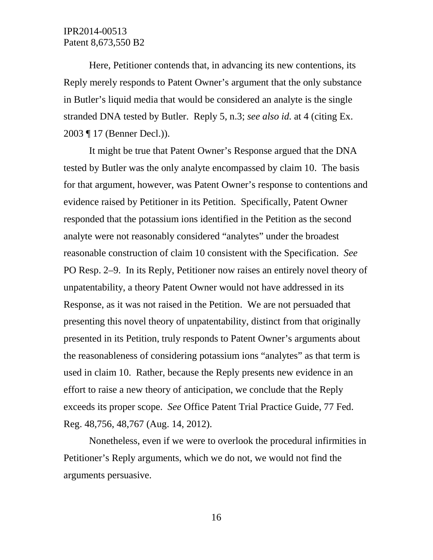Here, Petitioner contends that, in advancing its new contentions, its Reply merely responds to Patent Owner's argument that the only substance in Butler's liquid media that would be considered an analyte is the single stranded DNA tested by Butler. Reply 5, n.3; *see also id.* at 4 (citing Ex. 2003 ¶ 17 (Benner Decl.)).

It might be true that Patent Owner's Response argued that the DNA tested by Butler was the only analyte encompassed by claim 10. The basis for that argument, however, was Patent Owner's response to contentions and evidence raised by Petitioner in its Petition. Specifically, Patent Owner responded that the potassium ions identified in the Petition as the second analyte were not reasonably considered "analytes" under the broadest reasonable construction of claim 10 consistent with the Specification. *See*  PO Resp. 2–9. In its Reply, Petitioner now raises an entirely novel theory of unpatentability, a theory Patent Owner would not have addressed in its Response, as it was not raised in the Petition. We are not persuaded that presenting this novel theory of unpatentability, distinct from that originally presented in its Petition, truly responds to Patent Owner's arguments about the reasonableness of considering potassium ions "analytes" as that term is used in claim 10. Rather, because the Reply presents new evidence in an effort to raise a new theory of anticipation, we conclude that the Reply exceeds its proper scope. *See* Office Patent Trial Practice Guide, 77 Fed. Reg. 48,756, 48,767 (Aug. 14, 2012).

Nonetheless, even if we were to overlook the procedural infirmities in Petitioner's Reply arguments, which we do not, we would not find the arguments persuasive.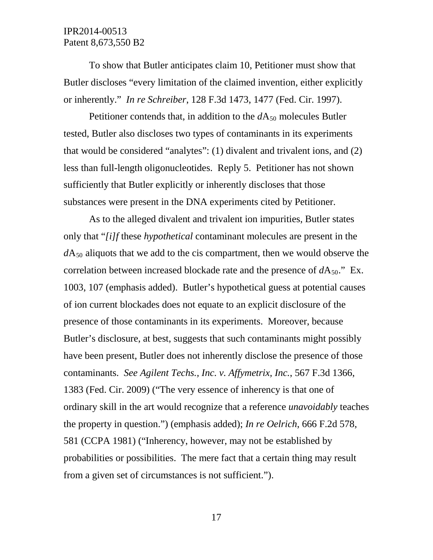To show that Butler anticipates claim 10, Petitioner must show that Butler discloses "every limitation of the claimed invention, either explicitly or inherently." *In re Schreiber*, 128 F.3d 1473, 1477 (Fed. Cir. 1997).

Petitioner contends that, in addition to the  $dA_{50}$  molecules Butler tested, Butler also discloses two types of contaminants in its experiments that would be considered "analytes": (1) divalent and trivalent ions, and (2) less than full-length oligonucleotides. Reply 5. Petitioner has not shown sufficiently that Butler explicitly or inherently discloses that those substances were present in the DNA experiments cited by Petitioner.

As to the alleged divalent and trivalent ion impurities, Butler states only that "*[i]f* these *hypothetical* contaminant molecules are present in the  $dA_{50}$  aliquots that we add to the cis compartment, then we would observe the correlation between increased blockade rate and the presence of  $dA_{50}$ ." Ex. 1003, 107 (emphasis added). Butler's hypothetical guess at potential causes of ion current blockades does not equate to an explicit disclosure of the presence of those contaminants in its experiments. Moreover, because Butler's disclosure, at best, suggests that such contaminants might possibly have been present, Butler does not inherently disclose the presence of those contaminants. *See Agilent Techs., Inc. v. Affymetrix, Inc.*, 567 F.3d 1366, 1383 (Fed. Cir. 2009) ("The very essence of inherency is that one of ordinary skill in the art would recognize that a reference *unavoidably* teaches the property in question.") (emphasis added); *In re Oelrich*, 666 F.2d 578, 581 (CCPA 1981) ("Inherency, however, may not be established by probabilities or possibilities. The mere fact that a certain thing may result from a given set of circumstances is not sufficient.").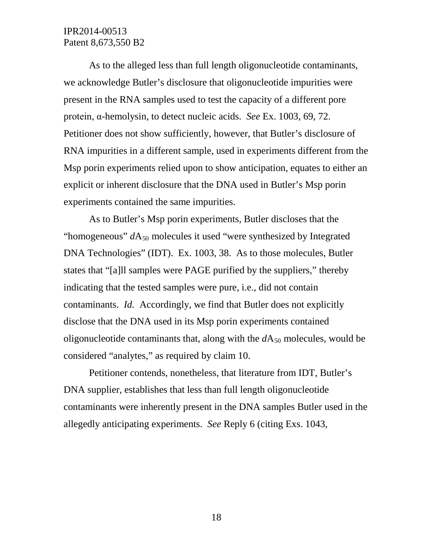As to the alleged less than full length oligonucleotide contaminants, we acknowledge Butler's disclosure that oligonucleotide impurities were present in the RNA samples used to test the capacity of a different pore protein, α-hemolysin, to detect nucleic acids. *See* Ex. 1003, 69, 72. Petitioner does not show sufficiently, however, that Butler's disclosure of RNA impurities in a different sample, used in experiments different from the Msp porin experiments relied upon to show anticipation, equates to either an explicit or inherent disclosure that the DNA used in Butler's Msp porin experiments contained the same impurities.

As to Butler's Msp porin experiments, Butler discloses that the "homogeneous"  $dA_{50}$  molecules it used "were synthesized by Integrated" DNA Technologies" (IDT). Ex. 1003, 38. As to those molecules, Butler states that "[a]ll samples were PAGE purified by the suppliers," thereby indicating that the tested samples were pure, i.e., did not contain contaminants. *Id.* Accordingly, we find that Butler does not explicitly disclose that the DNA used in its Msp porin experiments contained oligonucleotide contaminants that, along with the  $dA_{50}$  molecules, would be considered "analytes," as required by claim 10.

Petitioner contends, nonetheless, that literature from IDT, Butler's DNA supplier, establishes that less than full length oligonucleotide contaminants were inherently present in the DNA samples Butler used in the allegedly anticipating experiments. *See* Reply 6 (citing Exs. 1043,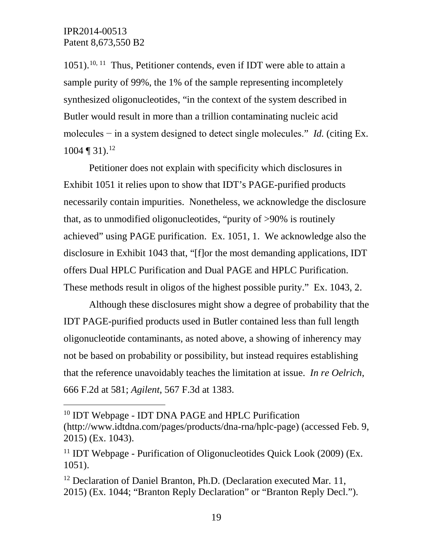$1051$ ).<sup>[10,](#page-18-0) 11</sup> Thus, Petitioner contends, even if IDT were able to attain a sample purity of 99%, the 1% of the sample representing incompletely synthesized oligonucleotides, "in the context of the system described in Butler would result in more than a trillion contaminating nucleic acid molecules − in a system designed to detect single molecules." *Id.* (citing Ex.  $1004 \text{ } \sqrt{ } 31$ .  $12$ 

Petitioner does not explain with specificity which disclosures in Exhibit 1051 it relies upon to show that IDT's PAGE-purified products necessarily contain impurities. Nonetheless, we acknowledge the disclosure that, as to unmodified oligonucleotides, "purity of >90% is routinely achieved" using PAGE purification. Ex. 1051, 1. We acknowledge also the disclosure in Exhibit 1043 that, "[f]or the most demanding applications, IDT offers Dual HPLC Purification and Dual PAGE and HPLC Purification. These methods result in oligos of the highest possible purity." Ex. 1043, 2.

Although these disclosures might show a degree of probability that the IDT PAGE-purified products used in Butler contained less than full length oligonucleotide contaminants, as noted above, a showing of inherency may not be based on probability or possibility, but instead requires establishing that the reference unavoidably teaches the limitation at issue. *In re Oelrich*, 666 F.2d at 581; *Agilent*, 567 F.3d at 1383.

<span id="page-18-0"></span><sup>&</sup>lt;sup>10</sup> IDT Webpage - IDT DNA PAGE and HPLC Purification

<sup>(</sup>http://www.idtdna.com/pages/products/dna-rna/hplc-page) (accessed Feb. 9, 2015) (Ex. 1043).

<span id="page-18-1"></span><sup>&</sup>lt;sup>11</sup> IDT Webpage - Purification of Oligonucleotides Quick Look (2009) (Ex. 1051).

<span id="page-18-2"></span><sup>&</sup>lt;sup>12</sup> Declaration of Daniel Branton, Ph.D. (Declaration executed Mar. 11, 2015) (Ex. 1044; "Branton Reply Declaration" or "Branton Reply Decl.").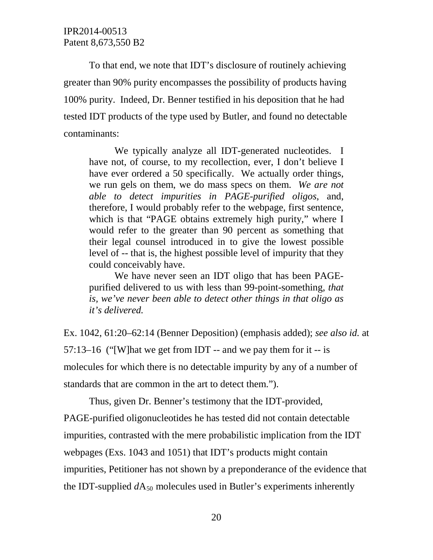To that end, we note that IDT's disclosure of routinely achieving greater than 90% purity encompasses the possibility of products having 100% purity. Indeed, Dr. Benner testified in his deposition that he had tested IDT products of the type used by Butler, and found no detectable contaminants:

We typically analyze all IDT-generated nucleotides. I have not, of course, to my recollection, ever, I don't believe I have ever ordered a 50 specifically. We actually order things, we run gels on them, we do mass specs on them. *We are not able to detect impurities in PAGE-purified oligos*, and, therefore, I would probably refer to the webpage, first sentence, which is that "PAGE obtains extremely high purity," where I would refer to the greater than 90 percent as something that their legal counsel introduced in to give the lowest possible level of -- that is, the highest possible level of impurity that they could conceivably have.

We have never seen an IDT oligo that has been PAGEpurified delivered to us with less than 99-point-something, *that is, we've never been able to detect other things in that oligo as it's delivered.*

Ex. 1042, 61:20–62:14 (Benner Deposition) (emphasis added); *see also id.* at 57:13–16 ("[W] hat we get from IDT -- and we pay them for it -- is molecules for which there is no detectable impurity by any of a number of standards that are common in the art to detect them.").

Thus, given Dr. Benner's testimony that the IDT-provided,

PAGE-purified oligonucleotides he has tested did not contain detectable impurities, contrasted with the mere probabilistic implication from the IDT webpages (Exs. 1043 and 1051) that IDT's products might contain impurities, Petitioner has not shown by a preponderance of the evidence that the IDT-supplied  $dA_{50}$  molecules used in Butler's experiments inherently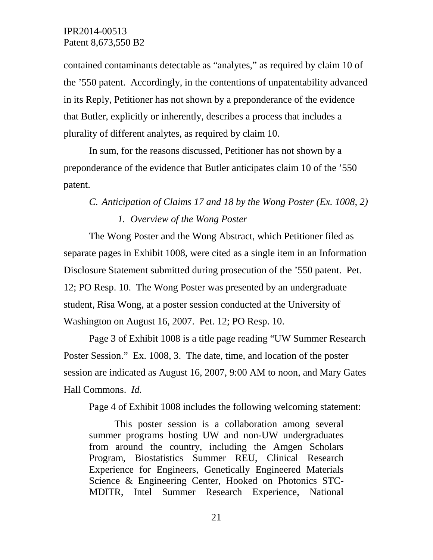contained contaminants detectable as "analytes," as required by claim 10 of the '550 patent. Accordingly, in the contentions of unpatentability advanced in its Reply, Petitioner has not shown by a preponderance of the evidence that Butler, explicitly or inherently, describes a process that includes a plurality of different analytes, as required by claim 10.

In sum, for the reasons discussed, Petitioner has not shown by a preponderance of the evidence that Butler anticipates claim 10 of the '550 patent.

# *C. Anticipation of Claims 17 and 18 by the Wong Poster (Ex. 1008, 2) 1. Overview of the Wong Poster*

The Wong Poster and the Wong Abstract, which Petitioner filed as separate pages in Exhibit 1008, were cited as a single item in an Information Disclosure Statement submitted during prosecution of the '550 patent. Pet. 12; PO Resp. 10. The Wong Poster was presented by an undergraduate student, Risa Wong, at a poster session conducted at the University of Washington on August 16, 2007. Pet. 12; PO Resp. 10.

Page 3 of Exhibit 1008 is a title page reading "UW Summer Research Poster Session." Ex. 1008, 3. The date, time, and location of the poster session are indicated as August 16, 2007, 9:00 AM to noon, and Mary Gates Hall Commons. *Id.*

Page 4 of Exhibit 1008 includes the following welcoming statement:

This poster session is a collaboration among several summer programs hosting UW and non-UW undergraduates from around the country, including the Amgen Scholars Program, Biostatistics Summer REU, Clinical Research Experience for Engineers, Genetically Engineered Materials Science & Engineering Center, Hooked on Photonics STC-MDITR, Intel Summer Research Experience, National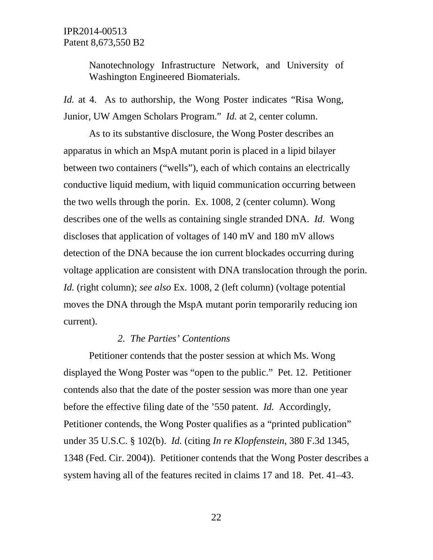Nanotechnology Infrastructure Network, and University of Washington Engineered Biomaterials.

*Id.* at 4. As to authorship, the Wong Poster indicates "Risa Wong, Junior, UW Amgen Scholars Program." *Id.* at 2, center column.

As to its substantive disclosure, the Wong Poster describes an apparatus in which an MspA mutant porin is placed in a lipid bilayer between two containers ("wells"), each of which contains an electrically conductive liquid medium, with liquid communication occurring between the two wells through the porin. Ex. 1008, 2 (center column). Wong describes one of the wells as containing single stranded DNA. *Id.* Wong discloses that application of voltages of 140 mV and 180 mV allows detection of the DNA because the ion current blockades occurring during voltage application are consistent with DNA translocation through the porin. *Id.* (right column); *see also* Ex. 1008, 2 (left column) (voltage potential moves the DNA through the MspA mutant porin temporarily reducing ion current).

#### *2. The Parties' Contentions*

Petitioner contends that the poster session at which Ms. Wong displayed the Wong Poster was "open to the public." Pet. 12. Petitioner contends also that the date of the poster session was more than one year before the effective filing date of the '550 patent. *Id.* Accordingly, Petitioner contends, the Wong Poster qualifies as a "printed publication" under 35 U.S.C. § 102(b). *Id.* (citing *In re Klopfenstein*, 380 F.3d 1345, 1348 (Fed. Cir. 2004)). Petitioner contends that the Wong Poster describes a system having all of the features recited in claims 17 and 18. Pet. 41–43.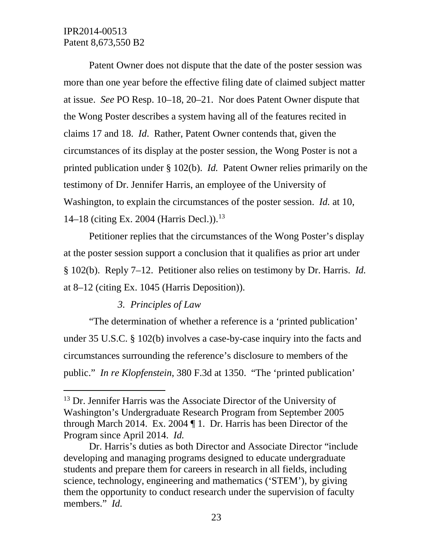Patent Owner does not dispute that the date of the poster session was more than one year before the effective filing date of claimed subject matter at issue. *See* PO Resp. 10–18, 20–21. Nor does Patent Owner dispute that the Wong Poster describes a system having all of the features recited in claims 17 and 18. *Id*. Rather, Patent Owner contends that, given the circumstances of its display at the poster session, the Wong Poster is not a printed publication under § 102(b). *Id.* Patent Owner relies primarily on the testimony of Dr. Jennifer Harris, an employee of the University of Washington, to explain the circumstances of the poster session. *Id.* at 10, 14–18 (citing Ex. 2004 (Harris Decl.)).<sup>[13](#page-22-0)</sup>

Petitioner replies that the circumstances of the Wong Poster's display at the poster session support a conclusion that it qualifies as prior art under § 102(b). Reply 7–12. Petitioner also relies on testimony by Dr. Harris. *Id.* at 8–12 (citing Ex. 1045 (Harris Deposition)).

## *3. Principles of Law*

"The determination of whether a reference is a 'printed publication' under 35 U.S.C. § 102(b) involves a case-by-case inquiry into the facts and circumstances surrounding the reference's disclosure to members of the public." *In re Klopfenstein*, 380 F.3d at 1350. "The 'printed publication'

<span id="page-22-0"></span><sup>&</sup>lt;sup>13</sup> Dr. Jennifer Harris was the Associate Director of the University of Washington's Undergraduate Research Program from September 2005 through March 2014. Ex. 2004 ¶ 1. Dr. Harris has been Director of the Program since April 2014. *Id.*

Dr. Harris's duties as both Director and Associate Director "include developing and managing programs designed to educate undergraduate students and prepare them for careers in research in all fields, including science, technology, engineering and mathematics ('STEM'), by giving them the opportunity to conduct research under the supervision of faculty members." *Id.*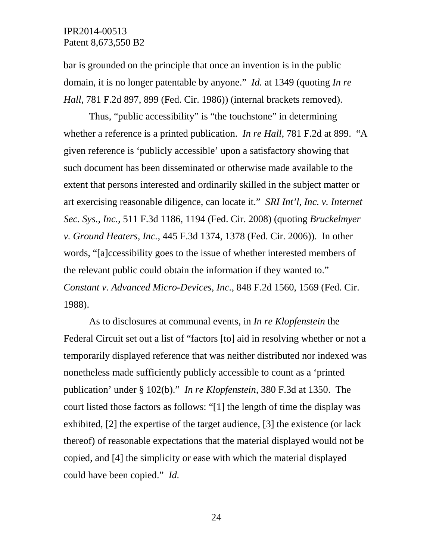bar is grounded on the principle that once an invention is in the public domain, it is no longer patentable by anyone." *Id.* at 1349 (quoting *In re Hall*, 781 F.2d 897, 899 (Fed. Cir. 1986)) (internal brackets removed).

Thus, "public accessibility" is "the touchstone" in determining whether a reference is a printed publication. *In re Hall*, 781 F.2d at 899. "A given reference is 'publicly accessible' upon a satisfactory showing that such document has been disseminated or otherwise made available to the extent that persons interested and ordinarily skilled in the subject matter or art exercising reasonable diligence, can locate it." *SRI Int'l, Inc. v. Internet Sec. Sys., Inc.*, 511 F.3d 1186, 1194 (Fed. Cir. 2008) (quoting *Bruckelmyer v. Ground Heaters, Inc.*, 445 F.3d 1374, 1378 (Fed. Cir. 2006)). In other words, "[a]ccessibility goes to the issue of whether interested members of the relevant public could obtain the information if they wanted to." *Constant v. Advanced Micro-Devices, Inc.*, 848 F.2d 1560, 1569 (Fed. Cir. 1988).

As to disclosures at communal events, in *In re Klopfenstein* the Federal Circuit set out a list of "factors [to] aid in resolving whether or not a temporarily displayed reference that was neither distributed nor indexed was nonetheless made sufficiently publicly accessible to count as a 'printed publication' under § 102(b)." *In re Klopfenstein*, 380 F.3d at 1350. The court listed those factors as follows: "[1] the length of time the display was exhibited, [2] the expertise of the target audience, [3] the existence (or lack thereof) of reasonable expectations that the material displayed would not be copied, and [4] the simplicity or ease with which the material displayed could have been copied." *Id.*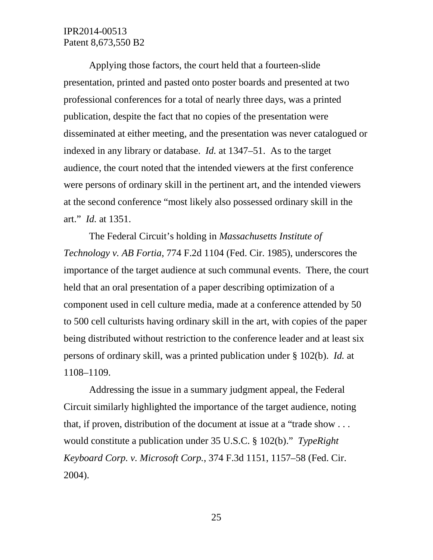Applying those factors, the court held that a fourteen-slide presentation, printed and pasted onto poster boards and presented at two professional conferences for a total of nearly three days, was a printed publication, despite the fact that no copies of the presentation were disseminated at either meeting, and the presentation was never catalogued or indexed in any library or database. *Id.* at 1347–51. As to the target audience, the court noted that the intended viewers at the first conference were persons of ordinary skill in the pertinent art, and the intended viewers at the second conference "most likely also possessed ordinary skill in the art." *Id.* at 1351.

The Federal Circuit's holding in *Massachusetts Institute of Technology v. AB Fortia*, 774 F.2d 1104 (Fed. Cir. 1985), underscores the importance of the target audience at such communal events. There, the court held that an oral presentation of a paper describing optimization of a component used in cell culture media, made at a conference attended by 50 to 500 cell culturists having ordinary skill in the art, with copies of the paper being distributed without restriction to the conference leader and at least six persons of ordinary skill, was a printed publication under § 102(b). *Id.* at 1108–1109.

Addressing the issue in a summary judgment appeal, the Federal Circuit similarly highlighted the importance of the target audience, noting that, if proven, distribution of the document at issue at a "trade show . . . would constitute a publication under 35 U.S.C. § 102(b)." *TypeRight Keyboard Corp. v. Microsoft Corp.*, 374 F.3d 1151, 1157–58 (Fed. Cir. 2004).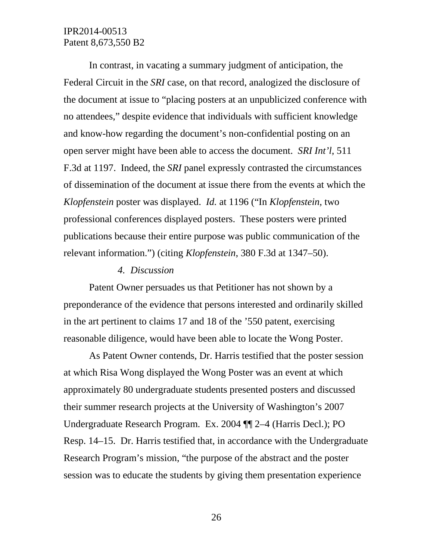In contrast, in vacating a summary judgment of anticipation, the Federal Circuit in the *SRI* case, on that record, analogized the disclosure of the document at issue to "placing posters at an unpublicized conference with no attendees," despite evidence that individuals with sufficient knowledge and know-how regarding the document's non-confidential posting on an open server might have been able to access the document. *SRI Int'l*, 511 F.3d at 1197. Indeed, the *SRI* panel expressly contrasted the circumstances of dissemination of the document at issue there from the events at which the *Klopfenstein* poster was displayed. *Id.* at 1196 ("In *Klopfenstein,* two professional conferences displayed posters. These posters were printed publications because their entire purpose was public communication of the relevant information.") (citing *Klopfenstein*, 380 F.3d at 1347–50).

#### *4. Discussion*

Patent Owner persuades us that Petitioner has not shown by a preponderance of the evidence that persons interested and ordinarily skilled in the art pertinent to claims 17 and 18 of the '550 patent, exercising reasonable diligence, would have been able to locate the Wong Poster.

As Patent Owner contends, Dr. Harris testified that the poster session at which Risa Wong displayed the Wong Poster was an event at which approximately 80 undergraduate students presented posters and discussed their summer research projects at the University of Washington's 2007 Undergraduate Research Program. Ex. 2004 ¶¶ 2–4 (Harris Decl.); PO Resp. 14–15. Dr. Harris testified that, in accordance with the Undergraduate Research Program's mission, "the purpose of the abstract and the poster session was to educate the students by giving them presentation experience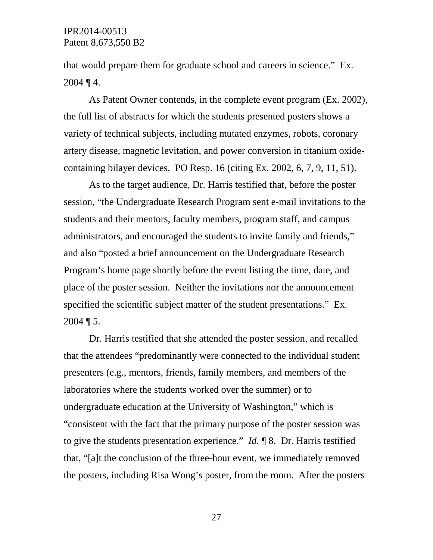that would prepare them for graduate school and careers in science." Ex.  $2004 \, \P 4$ .

As Patent Owner contends, in the complete event program (Ex. 2002), the full list of abstracts for which the students presented posters shows a variety of technical subjects, including mutated enzymes, robots, coronary artery disease, magnetic levitation, and power conversion in titanium oxidecontaining bilayer devices. PO Resp. 16 (citing Ex. 2002, 6, 7, 9, 11, 51).

As to the target audience, Dr. Harris testified that, before the poster session, "the Undergraduate Research Program sent e-mail invitations to the students and their mentors, faculty members, program staff, and campus administrators, and encouraged the students to invite family and friends," and also "posted a brief announcement on the Undergraduate Research Program's home page shortly before the event listing the time, date, and place of the poster session. Neither the invitations nor the announcement specified the scientific subject matter of the student presentations." Ex.  $2004 \text{ T}$  5.

Dr. Harris testified that she attended the poster session, and recalled that the attendees "predominantly were connected to the individual student presenters (e.g., mentors, friends, family members, and members of the laboratories where the students worked over the summer) or to undergraduate education at the University of Washington," which is "consistent with the fact that the primary purpose of the poster session was to give the students presentation experience." *Id.* ¶ 8. Dr. Harris testified that, "[a]t the conclusion of the three-hour event, we immediately removed the posters, including Risa Wong's poster, from the room. After the posters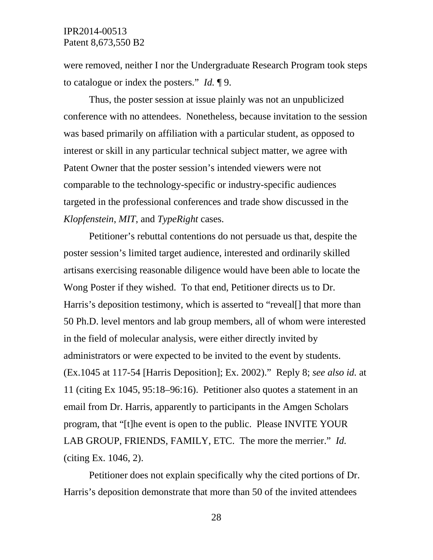were removed, neither I nor the Undergraduate Research Program took steps to catalogue or index the posters." *Id.* ¶ 9.

Thus, the poster session at issue plainly was not an unpublicized conference with no attendees. Nonetheless, because invitation to the session was based primarily on affiliation with a particular student, as opposed to interest or skill in any particular technical subject matter, we agree with Patent Owner that the poster session's intended viewers were not comparable to the technology-specific or industry-specific audiences targeted in the professional conferences and trade show discussed in the *Klopfenstein*, *MIT*, and *TypeRight* cases.

Petitioner's rebuttal contentions do not persuade us that, despite the poster session's limited target audience, interested and ordinarily skilled artisans exercising reasonable diligence would have been able to locate the Wong Poster if they wished. To that end, Petitioner directs us to Dr. Harris's deposition testimony, which is asserted to "reveal. That more than 50 Ph.D. level mentors and lab group members, all of whom were interested in the field of molecular analysis, were either directly invited by administrators or were expected to be invited to the event by students. (Ex.1045 at 117-54 [Harris Deposition]; Ex. 2002)." Reply 8; *see also id.* at 11 (citing Ex 1045, 95:18–96:16). Petitioner also quotes a statement in an email from Dr. Harris, apparently to participants in the Amgen Scholars program, that "[t]he event is open to the public. Please INVITE YOUR LAB GROUP, FRIENDS, FAMILY, ETC. The more the merrier." *Id.* (citing Ex. 1046, 2).

Petitioner does not explain specifically why the cited portions of Dr. Harris's deposition demonstrate that more than 50 of the invited attendees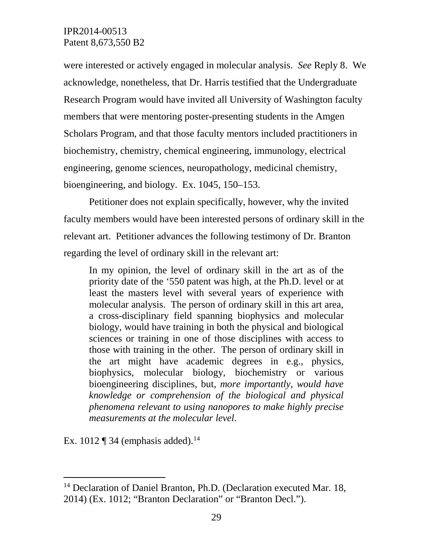were interested or actively engaged in molecular analysis. *See* Reply 8. We acknowledge, nonetheless, that Dr. Harris testified that the Undergraduate Research Program would have invited all University of Washington faculty members that were mentoring poster-presenting students in the Amgen Scholars Program, and that those faculty mentors included practitioners in biochemistry, chemistry, chemical engineering, immunology, electrical engineering, genome sciences, neuropathology, medicinal chemistry, bioengineering, and biology. Ex. 1045, 150–153.

Petitioner does not explain specifically, however, why the invited faculty members would have been interested persons of ordinary skill in the relevant art. Petitioner advances the following testimony of Dr. Branton regarding the level of ordinary skill in the relevant art:

In my opinion, the level of ordinary skill in the art as of the priority date of the '550 patent was high, at the Ph.D. level or at least the masters level with several years of experience with molecular analysis. The person of ordinary skill in this art area, a cross-disciplinary field spanning biophysics and molecular biology, would have training in both the physical and biological sciences or training in one of those disciplines with access to those with training in the other. The person of ordinary skill in the art might have academic degrees in e.g., physics, biophysics, molecular biology, biochemistry or various bioengineering disciplines, but, *more importantly, would have knowledge or comprehension of the biological and physical phenomena relevant to using nanopores to make highly precise measurements at the molecular level.*

Ex. 1012  $\P$  34 (emphasis added).<sup>[14](#page-28-0)</sup>

<span id="page-28-0"></span><sup>&</sup>lt;sup>14</sup> Declaration of Daniel Branton, Ph.D. (Declaration executed Mar. 18, 2014) (Ex. 1012; "Branton Declaration" or "Branton Decl.").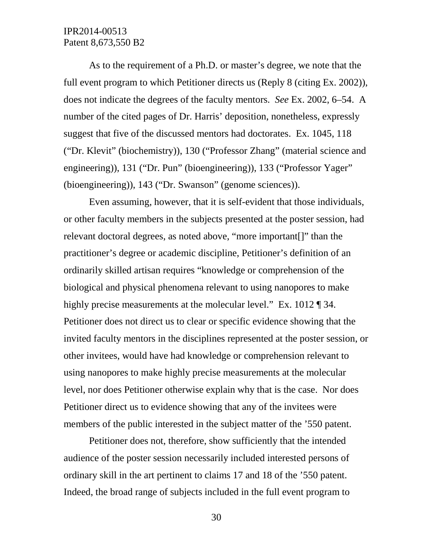As to the requirement of a Ph.D. or master's degree, we note that the full event program to which Petitioner directs us (Reply 8 (citing Ex. 2002)), does not indicate the degrees of the faculty mentors. *See* Ex. 2002, 6–54. A number of the cited pages of Dr. Harris' deposition, nonetheless, expressly suggest that five of the discussed mentors had doctorates. Ex. 1045, 118 ("Dr. Klevit" (biochemistry)), 130 ("Professor Zhang" (material science and engineering)), 131 ("Dr. Pun" (bioengineering)), 133 ("Professor Yager" (bioengineering)), 143 ("Dr. Swanson" (genome sciences)).

Even assuming, however, that it is self-evident that those individuals, or other faculty members in the subjects presented at the poster session, had relevant doctoral degrees, as noted above, "more important[]" than the practitioner's degree or academic discipline, Petitioner's definition of an ordinarily skilled artisan requires "knowledge or comprehension of the biological and physical phenomena relevant to using nanopores to make highly precise measurements at the molecular level." Ex. 1012 ¶ 34. Petitioner does not direct us to clear or specific evidence showing that the invited faculty mentors in the disciplines represented at the poster session, or other invitees, would have had knowledge or comprehension relevant to using nanopores to make highly precise measurements at the molecular level, nor does Petitioner otherwise explain why that is the case. Nor does Petitioner direct us to evidence showing that any of the invitees were members of the public interested in the subject matter of the '550 patent.

Petitioner does not, therefore, show sufficiently that the intended audience of the poster session necessarily included interested persons of ordinary skill in the art pertinent to claims 17 and 18 of the '550 patent. Indeed, the broad range of subjects included in the full event program to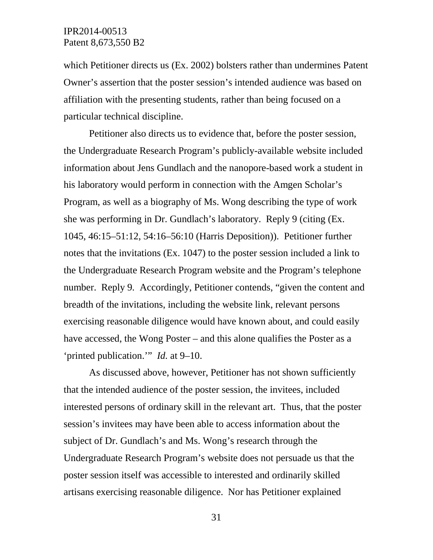which Petitioner directs us (Ex. 2002) bolsters rather than undermines Patent Owner's assertion that the poster session's intended audience was based on affiliation with the presenting students, rather than being focused on a particular technical discipline.

Petitioner also directs us to evidence that, before the poster session, the Undergraduate Research Program's publicly-available website included information about Jens Gundlach and the nanopore-based work a student in his laboratory would perform in connection with the Amgen Scholar's Program, as well as a biography of Ms. Wong describing the type of work she was performing in Dr. Gundlach's laboratory. Reply 9 (citing (Ex. 1045, 46:15–51:12, 54:16–56:10 (Harris Deposition)). Petitioner further notes that the invitations (Ex. 1047) to the poster session included a link to the Undergraduate Research Program website and the Program's telephone number. Reply 9*.* Accordingly, Petitioner contends, "given the content and breadth of the invitations, including the website link, relevant persons exercising reasonable diligence would have known about, and could easily have accessed, the Wong Poster – and this alone qualifies the Poster as a 'printed publication.'" *Id.* at 9–10.

As discussed above, however, Petitioner has not shown sufficiently that the intended audience of the poster session, the invitees, included interested persons of ordinary skill in the relevant art. Thus, that the poster session's invitees may have been able to access information about the subject of Dr. Gundlach's and Ms. Wong's research through the Undergraduate Research Program's website does not persuade us that the poster session itself was accessible to interested and ordinarily skilled artisans exercising reasonable diligence. Nor has Petitioner explained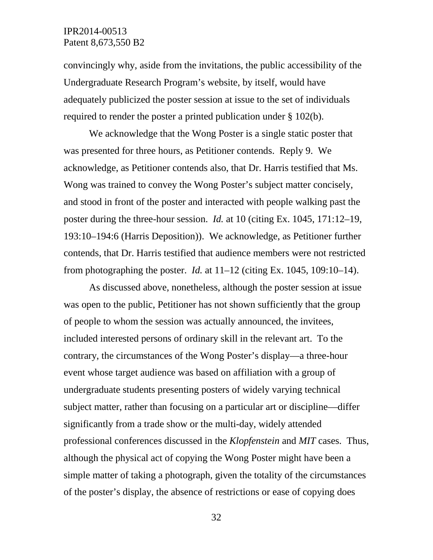convincingly why, aside from the invitations, the public accessibility of the Undergraduate Research Program's website, by itself, would have adequately publicized the poster session at issue to the set of individuals required to render the poster a printed publication under § 102(b).

We acknowledge that the Wong Poster is a single static poster that was presented for three hours, as Petitioner contends. Reply 9. We acknowledge, as Petitioner contends also, that Dr. Harris testified that Ms. Wong was trained to convey the Wong Poster's subject matter concisely, and stood in front of the poster and interacted with people walking past the poster during the three-hour session. *Id.* at 10 (citing Ex. 1045, 171:12–19, 193:10–194:6 (Harris Deposition)). We acknowledge, as Petitioner further contends, that Dr. Harris testified that audience members were not restricted from photographing the poster. *Id.* at  $11-12$  (citing Ex. 1045, 109:10-14).

As discussed above, nonetheless, although the poster session at issue was open to the public, Petitioner has not shown sufficiently that the group of people to whom the session was actually announced, the invitees, included interested persons of ordinary skill in the relevant art. To the contrary, the circumstances of the Wong Poster's display—a three-hour event whose target audience was based on affiliation with a group of undergraduate students presenting posters of widely varying technical subject matter, rather than focusing on a particular art or discipline—differ significantly from a trade show or the multi-day, widely attended professional conferences discussed in the *Klopfenstein* and *MIT* cases. Thus, although the physical act of copying the Wong Poster might have been a simple matter of taking a photograph, given the totality of the circumstances of the poster's display, the absence of restrictions or ease of copying does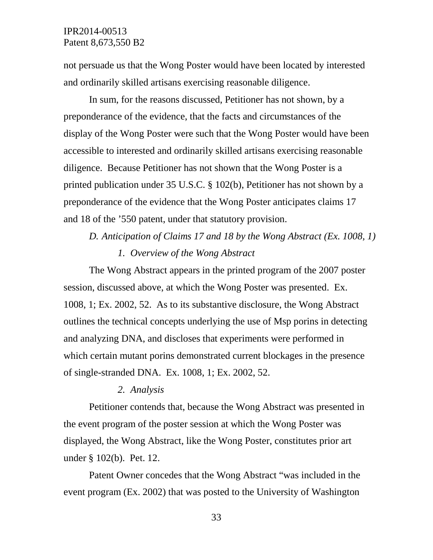not persuade us that the Wong Poster would have been located by interested and ordinarily skilled artisans exercising reasonable diligence.

In sum, for the reasons discussed, Petitioner has not shown, by a preponderance of the evidence, that the facts and circumstances of the display of the Wong Poster were such that the Wong Poster would have been accessible to interested and ordinarily skilled artisans exercising reasonable diligence. Because Petitioner has not shown that the Wong Poster is a printed publication under 35 U.S.C. § 102(b), Petitioner has not shown by a preponderance of the evidence that the Wong Poster anticipates claims 17 and 18 of the '550 patent, under that statutory provision.

# *D. Anticipation of Claims 17 and 18 by the Wong Abstract (Ex. 1008, 1) 1. Overview of the Wong Abstract*

The Wong Abstract appears in the printed program of the 2007 poster session, discussed above, at which the Wong Poster was presented. Ex. 1008, 1; Ex. 2002, 52. As to its substantive disclosure, the Wong Abstract outlines the technical concepts underlying the use of Msp porins in detecting and analyzing DNA, and discloses that experiments were performed in which certain mutant porins demonstrated current blockages in the presence of single-stranded DNA. Ex. 1008, 1; Ex. 2002, 52.

#### *2. Analysis*

Petitioner contends that, because the Wong Abstract was presented in the event program of the poster session at which the Wong Poster was displayed, the Wong Abstract, like the Wong Poster, constitutes prior art under § 102(b). Pet. 12.

Patent Owner concedes that the Wong Abstract "was included in the event program (Ex. 2002) that was posted to the University of Washington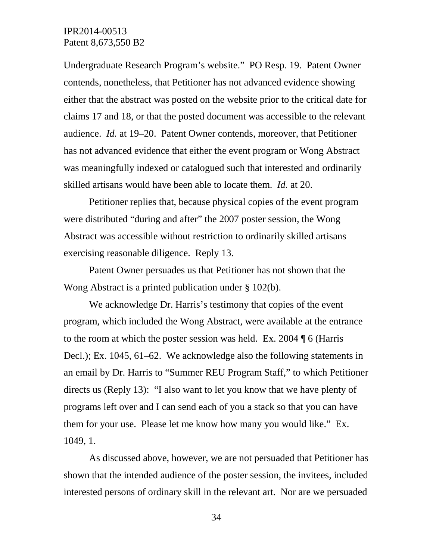Undergraduate Research Program's website." PO Resp. 19. Patent Owner contends, nonetheless, that Petitioner has not advanced evidence showing either that the abstract was posted on the website prior to the critical date for claims 17 and 18, or that the posted document was accessible to the relevant audience. *Id.* at 19–20. Patent Owner contends, moreover, that Petitioner has not advanced evidence that either the event program or Wong Abstract was meaningfully indexed or catalogued such that interested and ordinarily skilled artisans would have been able to locate them. *Id.* at 20.

Petitioner replies that, because physical copies of the event program were distributed "during and after" the 2007 poster session, the Wong Abstract was accessible without restriction to ordinarily skilled artisans exercising reasonable diligence. Reply 13.

Patent Owner persuades us that Petitioner has not shown that the Wong Abstract is a printed publication under § 102(b).

We acknowledge Dr. Harris's testimony that copies of the event program, which included the Wong Abstract, were available at the entrance to the room at which the poster session was held. Ex. 2004 ¶ 6 (Harris Decl.); Ex. 1045, 61–62. We acknowledge also the following statements in an email by Dr. Harris to "Summer REU Program Staff," to which Petitioner directs us (Reply 13): "I also want to let you know that we have plenty of programs left over and I can send each of you a stack so that you can have them for your use. Please let me know how many you would like." Ex. 1049, 1.

As discussed above, however, we are not persuaded that Petitioner has shown that the intended audience of the poster session, the invitees, included interested persons of ordinary skill in the relevant art. Nor are we persuaded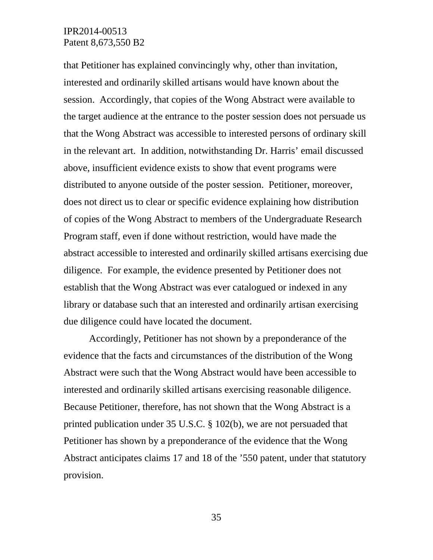that Petitioner has explained convincingly why, other than invitation, interested and ordinarily skilled artisans would have known about the session. Accordingly, that copies of the Wong Abstract were available to the target audience at the entrance to the poster session does not persuade us that the Wong Abstract was accessible to interested persons of ordinary skill in the relevant art. In addition, notwithstanding Dr. Harris' email discussed above, insufficient evidence exists to show that event programs were distributed to anyone outside of the poster session. Petitioner, moreover, does not direct us to clear or specific evidence explaining how distribution of copies of the Wong Abstract to members of the Undergraduate Research Program staff, even if done without restriction, would have made the abstract accessible to interested and ordinarily skilled artisans exercising due diligence. For example, the evidence presented by Petitioner does not establish that the Wong Abstract was ever catalogued or indexed in any library or database such that an interested and ordinarily artisan exercising due diligence could have located the document.

Accordingly, Petitioner has not shown by a preponderance of the evidence that the facts and circumstances of the distribution of the Wong Abstract were such that the Wong Abstract would have been accessible to interested and ordinarily skilled artisans exercising reasonable diligence. Because Petitioner, therefore, has not shown that the Wong Abstract is a printed publication under 35 U.S.C. § 102(b), we are not persuaded that Petitioner has shown by a preponderance of the evidence that the Wong Abstract anticipates claims 17 and 18 of the '550 patent, under that statutory provision.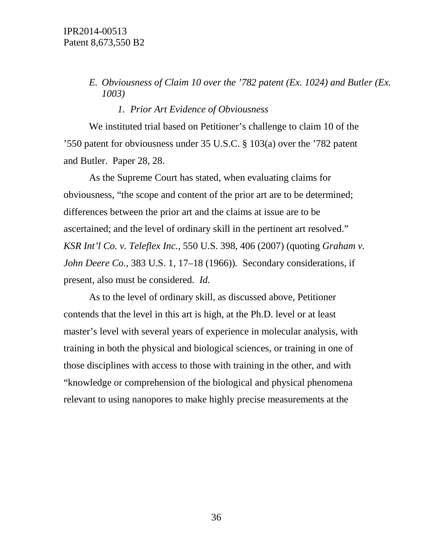# *E. Obviousness of Claim 10 over the '782 patent (Ex. 1024) and Butler (Ex. 1003)*

#### *1. Prior Art Evidence of Obviousness*

We instituted trial based on Petitioner's challenge to claim 10 of the '550 patent for obviousness under 35 U.S.C. § 103(a) over the '782 patent and Butler. Paper 28, 28.

As the Supreme Court has stated, when evaluating claims for obviousness, "the scope and content of the prior art are to be determined; differences between the prior art and the claims at issue are to be ascertained; and the level of ordinary skill in the pertinent art resolved." *KSR Int'l Co. v. Teleflex Inc.*, 550 U.S. 398, 406 (2007) (quoting *Graham v. John Deere Co.*, 383 U.S. 1, 17–18 (1966))*.* Secondary considerations, if present, also must be considered. *Id.*

As to the level of ordinary skill, as discussed above, Petitioner contends that the level in this art is high, at the Ph.D. level or at least master's level with several years of experience in molecular analysis, with training in both the physical and biological sciences, or training in one of those disciplines with access to those with training in the other, and with "knowledge or comprehension of the biological and physical phenomena relevant to using nanopores to make highly precise measurements at the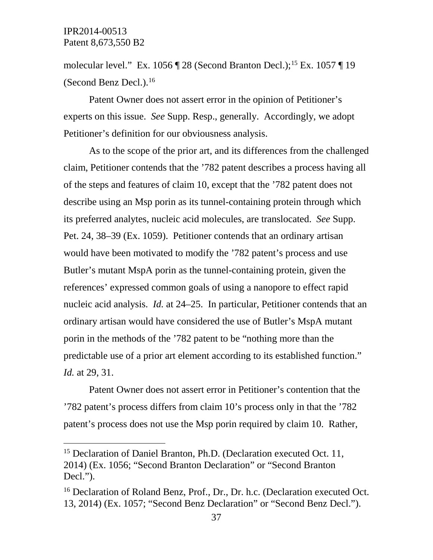molecular level." Ex. 1056 ¶ 28 (Second Branton Decl.):<sup>[15](#page-36-0)</sup> Ex. 1057 ¶ 19 (Second Benz Decl.). [16](#page-36-1)

Patent Owner does not assert error in the opinion of Petitioner's experts on this issue. *See* Supp. Resp., generally. Accordingly, we adopt Petitioner's definition for our obviousness analysis.

As to the scope of the prior art, and its differences from the challenged claim, Petitioner contends that the '782 patent describes a process having all of the steps and features of claim 10, except that the '782 patent does not describe using an Msp porin as its tunnel-containing protein through which its preferred analytes, nucleic acid molecules, are translocated. *See* Supp. Pet. 24, 38–39 (Ex. 1059). Petitioner contends that an ordinary artisan would have been motivated to modify the '782 patent's process and use Butler's mutant MspA porin as the tunnel-containing protein, given the references' expressed common goals of using a nanopore to effect rapid nucleic acid analysis. *Id.* at 24–25. In particular, Petitioner contends that an ordinary artisan would have considered the use of Butler's MspA mutant porin in the methods of the '782 patent to be "nothing more than the predictable use of a prior art element according to its established function." *Id.* at 29, 31.

Patent Owner does not assert error in Petitioner's contention that the '782 patent's process differs from claim 10's process only in that the '782 patent's process does not use the Msp porin required by claim 10. Rather,

<span id="page-36-0"></span><sup>&</sup>lt;sup>15</sup> Declaration of Daniel Branton, Ph.D. (Declaration executed Oct. 11, 2014) (Ex. 1056; "Second Branton Declaration" or "Second Branton Decl.").

<span id="page-36-1"></span><sup>&</sup>lt;sup>16</sup> Declaration of Roland Benz, Prof., Dr., Dr. h.c. (Declaration executed Oct. 13, 2014) (Ex. 1057; "Second Benz Declaration" or "Second Benz Decl.").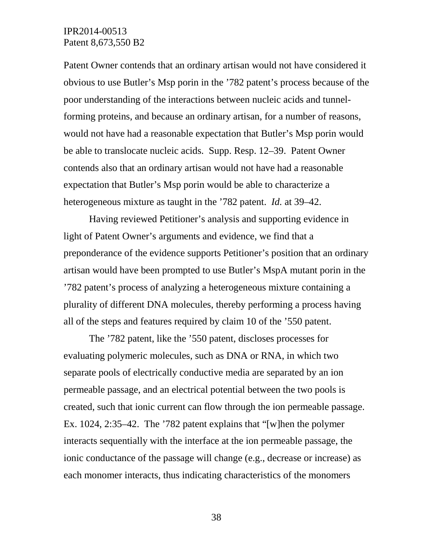Patent Owner contends that an ordinary artisan would not have considered it obvious to use Butler's Msp porin in the '782 patent's process because of the poor understanding of the interactions between nucleic acids and tunnelforming proteins, and because an ordinary artisan, for a number of reasons, would not have had a reasonable expectation that Butler's Msp porin would be able to translocate nucleic acids. Supp. Resp. 12–39. Patent Owner contends also that an ordinary artisan would not have had a reasonable expectation that Butler's Msp porin would be able to characterize a heterogeneous mixture as taught in the '782 patent. *Id.* at 39–42.

Having reviewed Petitioner's analysis and supporting evidence in light of Patent Owner's arguments and evidence, we find that a preponderance of the evidence supports Petitioner's position that an ordinary artisan would have been prompted to use Butler's MspA mutant porin in the '782 patent's process of analyzing a heterogeneous mixture containing a plurality of different DNA molecules, thereby performing a process having all of the steps and features required by claim 10 of the '550 patent.

The '782 patent, like the '550 patent, discloses processes for evaluating polymeric molecules, such as DNA or RNA, in which two separate pools of electrically conductive media are separated by an ion permeable passage, and an electrical potential between the two pools is created, such that ionic current can flow through the ion permeable passage. Ex. 1024, 2:35–42. The '782 patent explains that "[w]hen the polymer interacts sequentially with the interface at the ion permeable passage, the ionic conductance of the passage will change (e.g., decrease or increase) as each monomer interacts, thus indicating characteristics of the monomers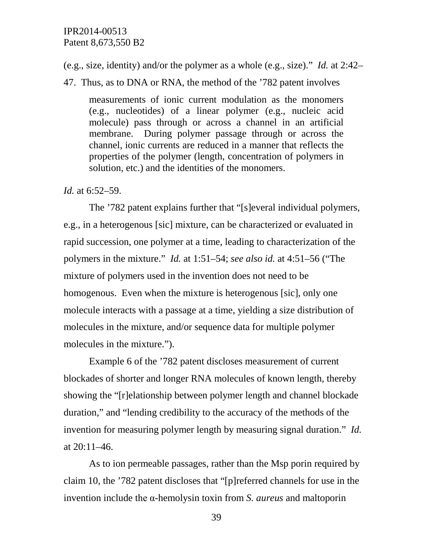(e.g., size, identity) and/or the polymer as a whole (e.g., size)." *Id.* at 2:42–

47. Thus, as to DNA or RNA, the method of the '782 patent involves

measurements of ionic current modulation as the monomers (e.g., nucleotides) of a linear polymer (e.g., nucleic acid molecule) pass through or across a channel in an artificial membrane. During polymer passage through or across the channel, ionic currents are reduced in a manner that reflects the properties of the polymer (length, concentration of polymers in solution, etc.) and the identities of the monomers.

#### *Id.* at 6:52–59.

The '782 patent explains further that "[s]everal individual polymers, e.g., in a heterogenous [sic] mixture, can be characterized or evaluated in rapid succession, one polymer at a time, leading to characterization of the polymers in the mixture." *Id.* at 1:51–54; *see also id.* at 4:51–56 ("The mixture of polymers used in the invention does not need to be homogenous. Even when the mixture is heterogenous [sic], only one molecule interacts with a passage at a time, yielding a size distribution of molecules in the mixture, and/or sequence data for multiple polymer molecules in the mixture.").

Example 6 of the '782 patent discloses measurement of current blockades of shorter and longer RNA molecules of known length, thereby showing the "[r]elationship between polymer length and channel blockade duration," and "lending credibility to the accuracy of the methods of the invention for measuring polymer length by measuring signal duration." *Id.* at 20:11–46.

As to ion permeable passages, rather than the Msp porin required by claim 10, the '782 patent discloses that "[p]referred channels for use in the invention include the α-hemolysin toxin from *S. aureus* and maltoporin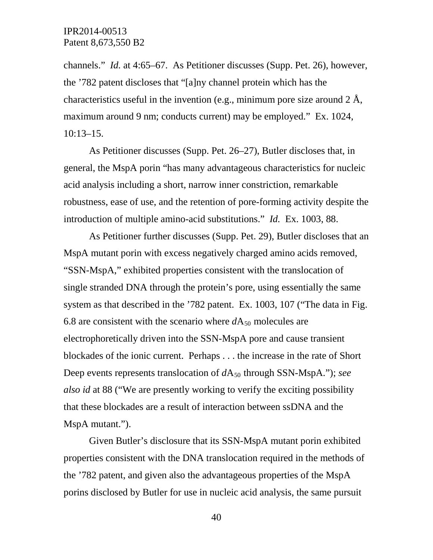channels." *Id.* at 4:65–67. As Petitioner discusses (Supp. Pet. 26), however, the '782 patent discloses that "[a]ny channel protein which has the characteristics useful in the invention (e.g., minimum pore size around  $2 \text{ Å}$ , maximum around 9 nm; conducts current) may be employed." Ex. 1024, 10:13–15.

As Petitioner discusses (Supp. Pet. 26–27), Butler discloses that, in general, the MspA porin "has many advantageous characteristics for nucleic acid analysis including a short, narrow inner constriction, remarkable robustness, ease of use, and the retention of pore-forming activity despite the introduction of multiple amino-acid substitutions." *Id.* Ex. 1003, 88.

As Petitioner further discusses (Supp. Pet. 29), Butler discloses that an MspA mutant porin with excess negatively charged amino acids removed, "SSN-MspA," exhibited properties consistent with the translocation of single stranded DNA through the protein's pore, using essentially the same system as that described in the '782 patent. Ex. 1003, 107 ("The data in Fig. 6.8 are consistent with the scenario where  $dA_{50}$  molecules are electrophoretically driven into the SSN-MspA pore and cause transient blockades of the ionic current. Perhaps . . . the increase in the rate of Short Deep events represents translocation of  $dA_{50}$  through SSN-MspA."); *see also id* at 88 ("We are presently working to verify the exciting possibility that these blockades are a result of interaction between ssDNA and the MspA mutant.").

Given Butler's disclosure that its SSN-MspA mutant porin exhibited properties consistent with the DNA translocation required in the methods of the '782 patent, and given also the advantageous properties of the MspA porins disclosed by Butler for use in nucleic acid analysis, the same pursuit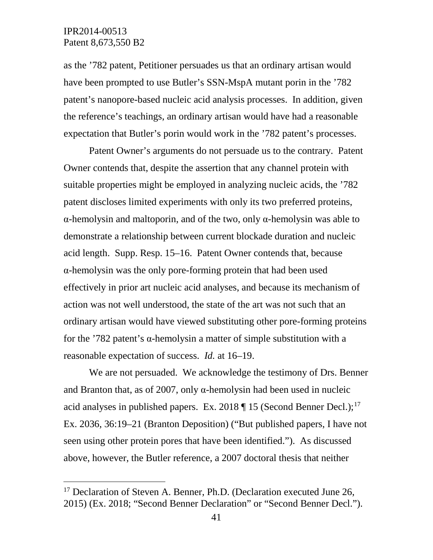as the '782 patent, Petitioner persuades us that an ordinary artisan would have been prompted to use Butler's SSN-MspA mutant porin in the '782 patent's nanopore-based nucleic acid analysis processes. In addition, given the reference's teachings, an ordinary artisan would have had a reasonable expectation that Butler's porin would work in the '782 patent's processes.

Patent Owner's arguments do not persuade us to the contrary. Patent Owner contends that, despite the assertion that any channel protein with suitable properties might be employed in analyzing nucleic acids, the '782 patent discloses limited experiments with only its two preferred proteins, α-hemolysin and maltoporin, and of the two, only α-hemolysin was able to demonstrate a relationship between current blockade duration and nucleic acid length. Supp. Resp. 15–16. Patent Owner contends that, because α-hemolysin was the only pore-forming protein that had been used effectively in prior art nucleic acid analyses, and because its mechanism of action was not well understood, the state of the art was not such that an ordinary artisan would have viewed substituting other pore-forming proteins for the '782 patent's  $\alpha$ -hemolysin a matter of simple substitution with a reasonable expectation of success. *Id.* at 16–19.

We are not persuaded. We acknowledge the testimony of Drs. Benner and Branton that, as of 2007, only  $\alpha$ -hemolysin had been used in nucleic acid analyses in published papers. Ex. 2018  $\P$  15 (Second Benner Decl.);<sup>[17](#page-40-0)</sup> Ex. 2036, 36:19–21 (Branton Deposition) ("But published papers, I have not seen using other protein pores that have been identified."). As discussed above, however, the Butler reference, a 2007 doctoral thesis that neither

<span id="page-40-0"></span><sup>&</sup>lt;sup>17</sup> Declaration of Steven A. Benner, Ph.D. (Declaration executed June 26, 2015) (Ex. 2018; "Second Benner Declaration" or "Second Benner Decl.").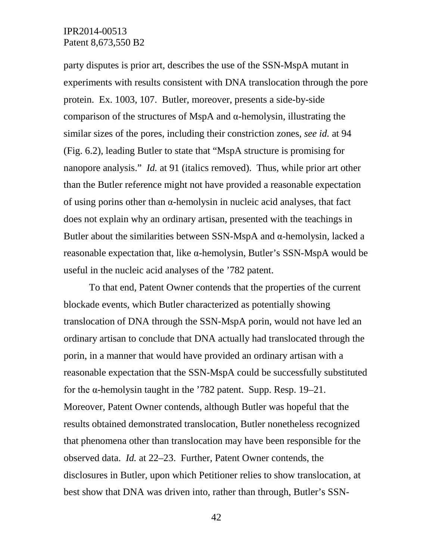party disputes is prior art, describes the use of the SSN-MspA mutant in experiments with results consistent with DNA translocation through the pore protein. Ex. 1003, 107. Butler, moreover, presents a side-by-side comparison of the structures of MspA and  $\alpha$ -hemolysin, illustrating the similar sizes of the pores, including their constriction zones, *see id.* at 94 (Fig. 6.2), leading Butler to state that "MspA structure is promising for nanopore analysis." *Id.* at 91 (italics removed). Thus, while prior art other than the Butler reference might not have provided a reasonable expectation of using porins other than  $\alpha$ -hemolysin in nucleic acid analyses, that fact does not explain why an ordinary artisan, presented with the teachings in Butler about the similarities between SSN-MspA and  $\alpha$ -hemolysin, lacked a reasonable expectation that, like α-hemolysin, Butler's SSN-MspA would be useful in the nucleic acid analyses of the '782 patent.

To that end, Patent Owner contends that the properties of the current blockade events, which Butler characterized as potentially showing translocation of DNA through the SSN-MspA porin, would not have led an ordinary artisan to conclude that DNA actually had translocated through the porin, in a manner that would have provided an ordinary artisan with a reasonable expectation that the SSN-MspA could be successfully substituted for the  $\alpha$ -hemolysin taught in the '782 patent. Supp. Resp. 19–21. Moreover, Patent Owner contends, although Butler was hopeful that the results obtained demonstrated translocation, Butler nonetheless recognized that phenomena other than translocation may have been responsible for the observed data. *Id.* at 22–23. Further, Patent Owner contends, the disclosures in Butler, upon which Petitioner relies to show translocation, at best show that DNA was driven into, rather than through, Butler's SSN-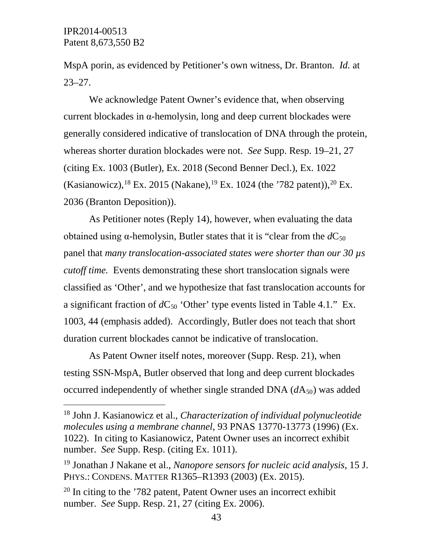MspA porin, as evidenced by Petitioner's own witness, Dr. Branton. *Id.* at 23–27.

We acknowledge Patent Owner's evidence that, when observing current blockades in α-hemolysin, long and deep current blockades were generally considered indicative of translocation of DNA through the protein, whereas shorter duration blockades were not. *See* Supp. Resp. 19–21, 27 (citing Ex. 1003 (Butler), Ex. 2018 (Second Benner Decl.), Ex. 1022 (Kasianowicz), <sup>[18](#page-42-0)</sup> Ex. 2015 (Nakane), <sup>[19](#page-42-1)</sup> Ex. 1024 (the '782 patent)), <sup>[20](#page-42-2)</sup> Ex. 2036 (Branton Deposition)).

As Petitioner notes (Reply 14), however, when evaluating the data obtained using  $\alpha$ -hemolysin, Butler states that it is "clear from the  $dC_{50}$ " panel that *many translocation-associated states were shorter than our 30 µs cutoff time.* Events demonstrating these short translocation signals were classified as 'Other', and we hypothesize that fast translocation accounts for a significant fraction of  $dC_{50}$  'Other' type events listed in Table 4.1." Ex. 1003, 44 (emphasis added). Accordingly, Butler does not teach that short duration current blockades cannot be indicative of translocation.

As Patent Owner itself notes, moreover (Supp. Resp. 21), when testing SSN-MspA, Butler observed that long and deep current blockades occurred independently of whether single stranded DNA  $(dA_{50})$  was added

<span id="page-42-0"></span> <sup>18</sup> John J. Kasianowicz et al., *Characterization of individual polynucleotide molecules using a membrane channel*, 93 PNAS 13770-13773 (1996) (Ex. 1022). In citing to Kasianowicz, Patent Owner uses an incorrect exhibit number. *See* Supp. Resp. (citing Ex. 1011).

<span id="page-42-1"></span><sup>19</sup> Jonathan J Nakane et al., *Nanopore sensors for nucleic acid analysis*, 15 J. PHYS.: CONDENS. MATTER R1365–R1393 (2003) (Ex. 2015).

<span id="page-42-2"></span> $20$  In citing to the '782 patent, Patent Owner uses an incorrect exhibit number. *See* Supp. Resp. 21, 27 (citing Ex. 2006).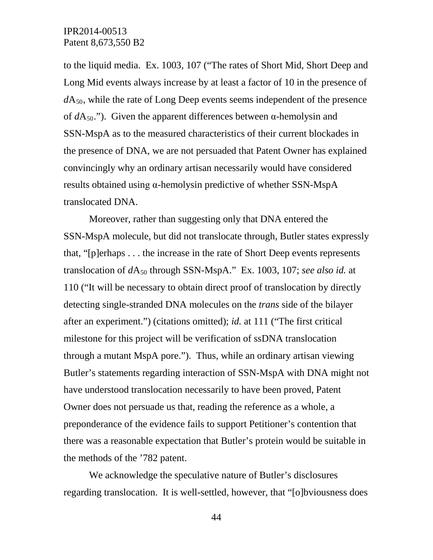to the liquid media. Ex. 1003, 107 ("The rates of Short Mid, Short Deep and Long Mid events always increase by at least a factor of 10 in the presence of  $dA_{50}$ , while the rate of Long Deep events seems independent of the presence of  $dA_{50}$ ."). Given the apparent differences between  $\alpha$ -hemolysin and SSN-MspA as to the measured characteristics of their current blockades in the presence of DNA, we are not persuaded that Patent Owner has explained convincingly why an ordinary artisan necessarily would have considered results obtained using α-hemolysin predictive of whether SSN-MspA translocated DNA.

Moreover, rather than suggesting only that DNA entered the SSN-MspA molecule, but did not translocate through, Butler states expressly that, "[p]erhaps . . . the increase in the rate of Short Deep events represents translocation of  $dA_{50}$  through SSN-MspA." Ex. 1003, 107; *see also id.* at 110 ("It will be necessary to obtain direct proof of translocation by directly detecting single-stranded DNA molecules on the *trans* side of the bilayer after an experiment.") (citations omitted); *id.* at 111 ("The first critical milestone for this project will be verification of ssDNA translocation through a mutant MspA pore."). Thus, while an ordinary artisan viewing Butler's statements regarding interaction of SSN-MspA with DNA might not have understood translocation necessarily to have been proved, Patent Owner does not persuade us that, reading the reference as a whole, a preponderance of the evidence fails to support Petitioner's contention that there was a reasonable expectation that Butler's protein would be suitable in the methods of the '782 patent.

We acknowledge the speculative nature of Butler's disclosures regarding translocation. It is well-settled, however, that "[o]bviousness does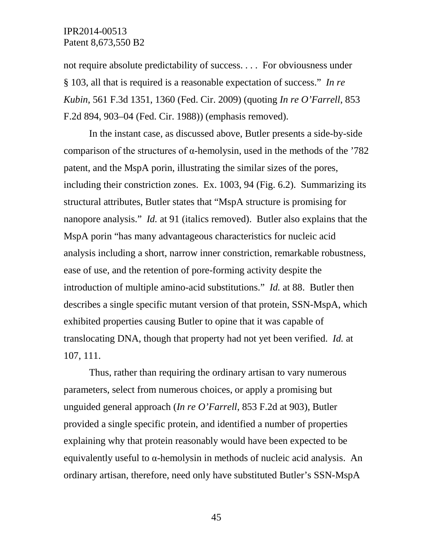not require absolute predictability of success. . . . For obviousness under § 103, all that is required is a reasonable expectation of success." *In re Kubin*, 561 F.3d 1351, 1360 (Fed. Cir. 2009) (quoting *In re O'Farrell*, 853 F.2d 894, 903–04 (Fed. Cir. 1988)) (emphasis removed).

In the instant case, as discussed above, Butler presents a side-by-side comparison of the structures of  $\alpha$ -hemolysin, used in the methods of the '782 patent, and the MspA porin, illustrating the similar sizes of the pores, including their constriction zones. Ex. 1003, 94 (Fig. 6.2). Summarizing its structural attributes, Butler states that "MspA structure is promising for nanopore analysis." *Id.* at 91 (italics removed). Butler also explains that the MspA porin "has many advantageous characteristics for nucleic acid analysis including a short, narrow inner constriction, remarkable robustness, ease of use, and the retention of pore-forming activity despite the introduction of multiple amino-acid substitutions." *Id.* at 88. Butler then describes a single specific mutant version of that protein, SSN-MspA, which exhibited properties causing Butler to opine that it was capable of translocating DNA, though that property had not yet been verified. *Id.* at 107, 111.

Thus, rather than requiring the ordinary artisan to vary numerous parameters, select from numerous choices, or apply a promising but unguided general approach (*In re O'Farrell*, 853 F.2d at 903), Butler provided a single specific protein, and identified a number of properties explaining why that protein reasonably would have been expected to be equivalently useful to α-hemolysin in methods of nucleic acid analysis. An ordinary artisan, therefore, need only have substituted Butler's SSN-MspA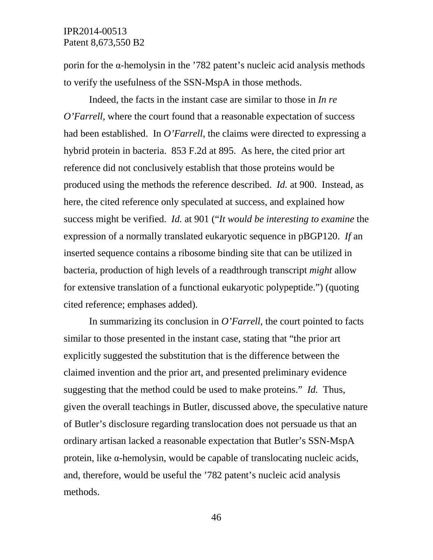porin for the α-hemolysin in the '782 patent's nucleic acid analysis methods to verify the usefulness of the SSN-MspA in those methods.

Indeed, the facts in the instant case are similar to those in *In re O'Farrell*, where the court found that a reasonable expectation of success had been established. In *O'Farrell*, the claims were directed to expressing a hybrid protein in bacteria. 853 F.2d at 895. As here, the cited prior art reference did not conclusively establish that those proteins would be produced using the methods the reference described. *Id.* at 900. Instead, as here, the cited reference only speculated at success, and explained how success might be verified. *Id.* at 901 ("*It would be interesting to examine* the expression of a normally translated eukaryotic sequence in pBGP120. *If* an inserted sequence contains a ribosome binding site that can be utilized in bacteria, production of high levels of a readthrough transcript *might* allow for extensive translation of a functional eukaryotic polypeptide.") (quoting cited reference; emphases added).

In summarizing its conclusion in *O'Farrell*, the court pointed to facts similar to those presented in the instant case, stating that "the prior art explicitly suggested the substitution that is the difference between the claimed invention and the prior art, and presented preliminary evidence suggesting that the method could be used to make proteins." *Id.* Thus, given the overall teachings in Butler, discussed above, the speculative nature of Butler's disclosure regarding translocation does not persuade us that an ordinary artisan lacked a reasonable expectation that Butler's SSN-MspA protein, like α-hemolysin, would be capable of translocating nucleic acids, and, therefore, would be useful the '782 patent's nucleic acid analysis methods.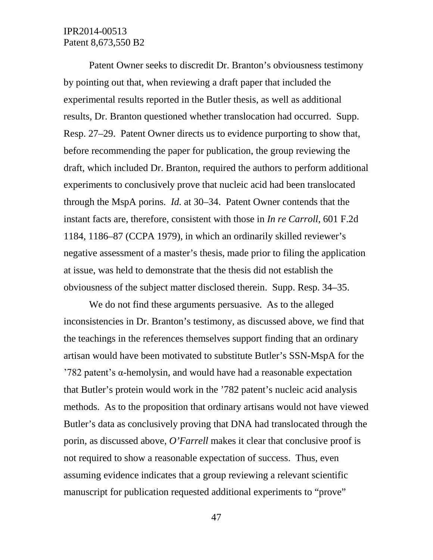Patent Owner seeks to discredit Dr. Branton's obviousness testimony by pointing out that, when reviewing a draft paper that included the experimental results reported in the Butler thesis, as well as additional results, Dr. Branton questioned whether translocation had occurred. Supp. Resp. 27–29. Patent Owner directs us to evidence purporting to show that, before recommending the paper for publication, the group reviewing the draft, which included Dr. Branton, required the authors to perform additional experiments to conclusively prove that nucleic acid had been translocated through the MspA porins. *Id.* at 30–34. Patent Owner contends that the instant facts are, therefore, consistent with those in *In re Carroll*, 601 F.2d 1184, 1186–87 (CCPA 1979), in which an ordinarily skilled reviewer's negative assessment of a master's thesis, made prior to filing the application at issue, was held to demonstrate that the thesis did not establish the obviousness of the subject matter disclosed therein. Supp. Resp. 34–35.

We do not find these arguments persuasive. As to the alleged inconsistencies in Dr. Branton's testimony, as discussed above, we find that the teachings in the references themselves support finding that an ordinary artisan would have been motivated to substitute Butler's SSN-MspA for the '782 patent's α-hemolysin, and would have had a reasonable expectation that Butler's protein would work in the '782 patent's nucleic acid analysis methods. As to the proposition that ordinary artisans would not have viewed Butler's data as conclusively proving that DNA had translocated through the porin, as discussed above, *O'Farrell* makes it clear that conclusive proof is not required to show a reasonable expectation of success. Thus, even assuming evidence indicates that a group reviewing a relevant scientific manuscript for publication requested additional experiments to "prove"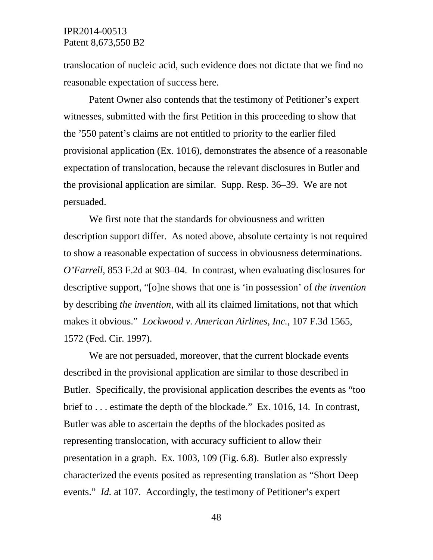translocation of nucleic acid, such evidence does not dictate that we find no reasonable expectation of success here.

Patent Owner also contends that the testimony of Petitioner's expert witnesses, submitted with the first Petition in this proceeding to show that the '550 patent's claims are not entitled to priority to the earlier filed provisional application (Ex. 1016), demonstrates the absence of a reasonable expectation of translocation, because the relevant disclosures in Butler and the provisional application are similar. Supp. Resp. 36–39. We are not persuaded.

We first note that the standards for obviousness and written description support differ. As noted above, absolute certainty is not required to show a reasonable expectation of success in obviousness determinations. *O'Farrell*, 853 F.2d at 903–04. In contrast, when evaluating disclosures for descriptive support, "[o]ne shows that one is 'in possession' of *the invention* by describing *the invention*, with all its claimed limitations, not that which makes it obvious." *Lockwood v. American Airlines, Inc.*, 107 F.3d 1565, 1572 (Fed. Cir. 1997).

We are not persuaded, moreover, that the current blockade events described in the provisional application are similar to those described in Butler. Specifically, the provisional application describes the events as "too brief to . . . estimate the depth of the blockade." Ex. 1016, 14. In contrast, Butler was able to ascertain the depths of the blockades posited as representing translocation, with accuracy sufficient to allow their presentation in a graph. Ex. 1003, 109 (Fig. 6.8). Butler also expressly characterized the events posited as representing translation as "Short Deep events." *Id.* at 107. Accordingly, the testimony of Petitioner's expert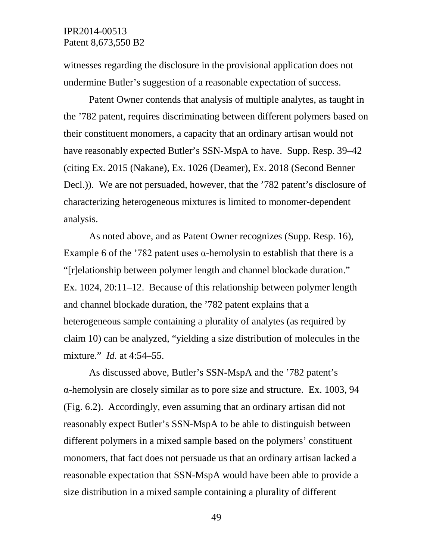witnesses regarding the disclosure in the provisional application does not undermine Butler's suggestion of a reasonable expectation of success.

Patent Owner contends that analysis of multiple analytes, as taught in the '782 patent, requires discriminating between different polymers based on their constituent monomers, a capacity that an ordinary artisan would not have reasonably expected Butler's SSN-MspA to have. Supp. Resp. 39–42 (citing Ex. 2015 (Nakane), Ex. 1026 (Deamer), Ex. 2018 (Second Benner Decl.)). We are not persuaded, however, that the '782 patent's disclosure of characterizing heterogeneous mixtures is limited to monomer-dependent analysis.

As noted above, and as Patent Owner recognizes (Supp. Resp. 16), Example 6 of the '782 patent uses  $\alpha$ -hemolysin to establish that there is a "[r]elationship between polymer length and channel blockade duration." Ex. 1024, 20:11–12. Because of this relationship between polymer length and channel blockade duration, the '782 patent explains that a heterogeneous sample containing a plurality of analytes (as required by claim 10) can be analyzed, "yielding a size distribution of molecules in the mixture." *Id.* at 4:54–55.

As discussed above, Butler's SSN-MspA and the '782 patent's α-hemolysin are closely similar as to pore size and structure. Ex. 1003, 94 (Fig. 6.2). Accordingly, even assuming that an ordinary artisan did not reasonably expect Butler's SSN-MspA to be able to distinguish between different polymers in a mixed sample based on the polymers' constituent monomers, that fact does not persuade us that an ordinary artisan lacked a reasonable expectation that SSN-MspA would have been able to provide a size distribution in a mixed sample containing a plurality of different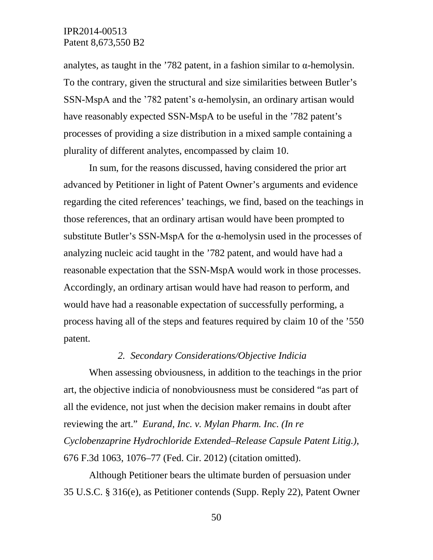analytes, as taught in the '782 patent, in a fashion similar to  $\alpha$ -hemolysin. To the contrary, given the structural and size similarities between Butler's SSN-MspA and the '782 patent's  $\alpha$ -hemolysin, an ordinary artisan would have reasonably expected SSN-MspA to be useful in the '782 patent's processes of providing a size distribution in a mixed sample containing a plurality of different analytes, encompassed by claim 10.

In sum, for the reasons discussed, having considered the prior art advanced by Petitioner in light of Patent Owner's arguments and evidence regarding the cited references' teachings, we find, based on the teachings in those references, that an ordinary artisan would have been prompted to substitute Butler's SSN-MspA for the  $\alpha$ -hemolysin used in the processes of analyzing nucleic acid taught in the '782 patent, and would have had a reasonable expectation that the SSN-MspA would work in those processes. Accordingly, an ordinary artisan would have had reason to perform, and would have had a reasonable expectation of successfully performing, a process having all of the steps and features required by claim 10 of the '550 patent.

#### *2. Secondary Considerations/Objective Indicia*

When assessing obviousness, in addition to the teachings in the prior art, the objective indicia of nonobviousness must be considered "as part of all the evidence, not just when the decision maker remains in doubt after reviewing the art." *Eurand, Inc. v. Mylan Pharm. Inc. (In re Cyclobenzaprine Hydrochloride Extended–Release Capsule Patent Litig.)*, 676 F.3d 1063, 1076–77 (Fed. Cir. 2012) (citation omitted).

Although Petitioner bears the ultimate burden of persuasion under 35 U.S.C. § 316(e), as Petitioner contends (Supp. Reply 22), Patent Owner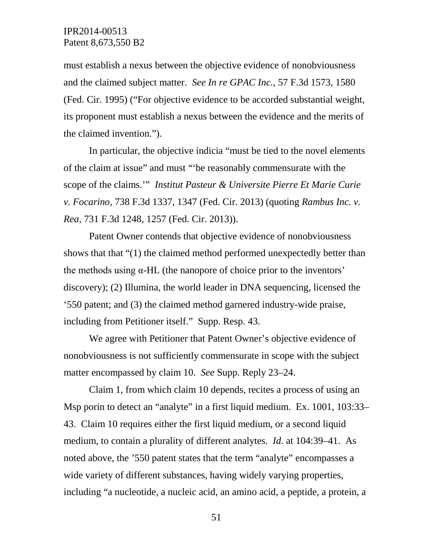must establish a nexus between the objective evidence of nonobviousness and the claimed subject matter. *See In re GPAC Inc.*, 57 F.3d 1573, 1580 (Fed. Cir. 1995) ("For objective evidence to be accorded substantial weight, its proponent must establish a nexus between the evidence and the merits of the claimed invention.").

In particular, the objective indicia "must be tied to the novel elements of the claim at issue" and must "'be reasonably commensurate with the scope of the claims.'" *Institut Pasteur & Universite Pierre Et Marie Curie v. Focarino*, 738 F.3d 1337, 1347 (Fed. Cir. 2013) (quoting *Rambus Inc. v. Rea*, 731 F.3d 1248, 1257 (Fed. Cir. 2013)).

Patent Owner contends that objective evidence of nonobviousness shows that that "(1) the claimed method performed unexpectedly better than the methods using  $\alpha$ -HL (the nanopore of choice prior to the inventors' discovery); (2) Illumina, the world leader in DNA sequencing, licensed the '550 patent; and (3) the claimed method garnered industry-wide praise, including from Petitioner itself." Supp. Resp. 43.

We agree with Petitioner that Patent Owner's objective evidence of nonobviousness is not sufficiently commensurate in scope with the subject matter encompassed by claim 10. *See* Supp. Reply 23–24.

Claim 1, from which claim 10 depends, recites a process of using an Msp porin to detect an "analyte" in a first liquid medium. Ex. 1001, 103:33– 43. Claim 10 requires either the first liquid medium, or a second liquid medium, to contain a plurality of different analytes. *Id.* at 104:39–41. As noted above, the '550 patent states that the term "analyte" encompasses a wide variety of different substances, having widely varying properties, including "a nucleotide, a nucleic acid, an amino acid, a peptide, a protein, a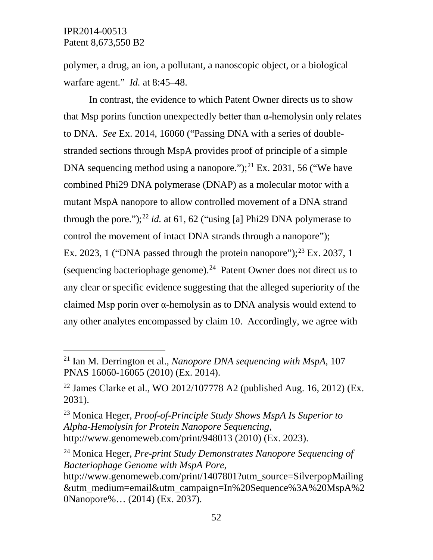polymer, a drug, an ion, a pollutant, a nanoscopic object, or a biological warfare agent." *Id.* at 8:45–48.

In contrast, the evidence to which Patent Owner directs us to show that Msp porins function unexpectedly better than α-hemolysin only relates to DNA. *See* Ex. 2014, 16060 ("Passing DNA with a series of doublestranded sections through MspA provides proof of principle of a simple DNA sequencing method using a nanopore."); $^{21}$  $^{21}$  $^{21}$  Ex. 2031, 56 ("We have combined Phi29 DNA polymerase (DNAP) as a molecular motor with a mutant MspA nanopore to allow controlled movement of a DNA strand through the pore.");<sup>[22](#page-51-1)</sup> *id.* at 61, 62 ("using [a] Phi29 DNA polymerase to control the movement of intact DNA strands through a nanopore"); Ex. 20[23](#page-51-2), 1 ("DNA passed through the protein nanopore"); $^{23}$  Ex. 2037, 1 (sequencing bacteriophage genome).[24](#page-51-3) Patent Owner does not direct us to any clear or specific evidence suggesting that the alleged superiority of the claimed Msp porin over α-hemolysin as to DNA analysis would extend to any other analytes encompassed by claim 10. Accordingly, we agree with

<span id="page-51-0"></span> <sup>21</sup> Ian M. Derrington et al., *Nanopore DNA sequencing with MspA*, 107 PNAS 16060-16065 (2010) (Ex. 2014).

<span id="page-51-1"></span><sup>&</sup>lt;sup>22</sup> James Clarke et al., WO 2012/107778 A2 (published Aug. 16, 2012) (Ex. 2031).

<span id="page-51-2"></span><sup>23</sup> Monica Heger, *Proof-of-Principle Study Shows MspA Is Superior to Alpha-Hemolysin for Protein Nanopore Sequencing*, http://www.genomeweb.com/print/948013 (2010) (Ex. 2023).

<span id="page-51-3"></span><sup>24</sup> Monica Heger, *Pre-print Study Demonstrates Nanopore Sequencing of Bacteriophage Genome with MspA Pore*,

http://www.genomeweb.com/print/1407801?utm\_source=SilverpopMailing &utm\_medium=email&utm\_campaign=In%20Sequence%3A%20MspA%2 0Nanopore%… (2014) (Ex. 2037).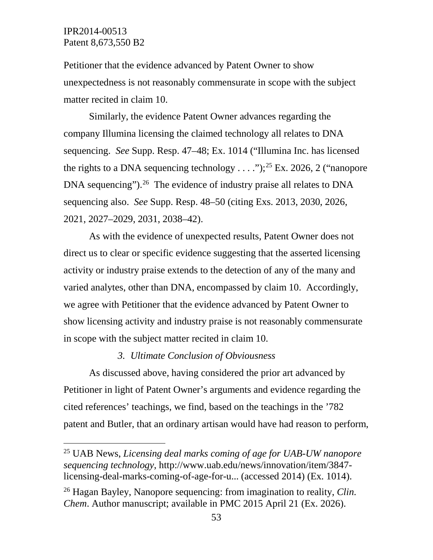Petitioner that the evidence advanced by Patent Owner to show unexpectedness is not reasonably commensurate in scope with the subject matter recited in claim 10.

Similarly, the evidence Patent Owner advances regarding the company Illumina licensing the claimed technology all relates to DNA sequencing. *See* Supp. Resp. 47–48; Ex. 1014 ("Illumina Inc. has licensed the rights to a DNA sequencing technology  $\dots$ ");<sup>[25](#page-52-0)</sup> Ex. 2026, 2 ("nanopore") DNA sequencing").<sup>26</sup> The evidence of industry praise all relates to DNA sequencing also. *See* Supp. Resp. 48–50 (citing Exs. 2013, 2030, 2026, 2021, 2027–2029, 2031, 2038–42).

As with the evidence of unexpected results, Patent Owner does not direct us to clear or specific evidence suggesting that the asserted licensing activity or industry praise extends to the detection of any of the many and varied analytes, other than DNA, encompassed by claim 10. Accordingly, we agree with Petitioner that the evidence advanced by Patent Owner to show licensing activity and industry praise is not reasonably commensurate in scope with the subject matter recited in claim 10.

#### *3. Ultimate Conclusion of Obviousness*

As discussed above, having considered the prior art advanced by Petitioner in light of Patent Owner's arguments and evidence regarding the cited references' teachings, we find, based on the teachings in the '782 patent and Butler, that an ordinary artisan would have had reason to perform,

<span id="page-52-0"></span> <sup>25</sup> UAB News, *Licensing deal marks coming of age for UAB-UW nanopore sequencing technology*, http://www.uab.edu/news/innovation/item/3847 licensing-deal-marks-coming-of-age-for-u... (accessed 2014) (Ex. 1014).

<span id="page-52-1"></span><sup>26</sup> Hagan Bayley, Nanopore sequencing: from imagination to reality, *Clin. Chem*. Author manuscript; available in PMC 2015 April 21 (Ex. 2026).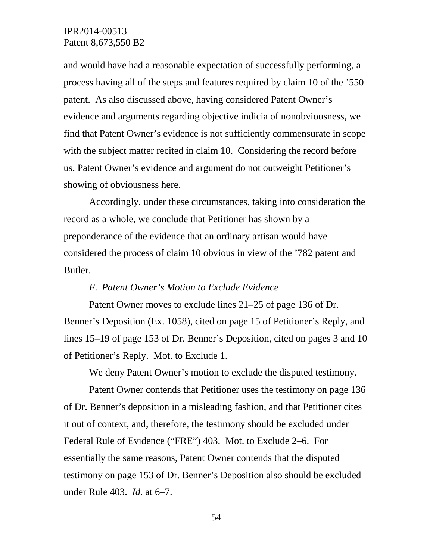and would have had a reasonable expectation of successfully performing, a process having all of the steps and features required by claim 10 of the '550 patent. As also discussed above, having considered Patent Owner's evidence and arguments regarding objective indicia of nonobviousness, we find that Patent Owner's evidence is not sufficiently commensurate in scope with the subject matter recited in claim 10. Considering the record before us, Patent Owner's evidence and argument do not outweight Petitioner's showing of obviousness here.

Accordingly, under these circumstances, taking into consideration the record as a whole, we conclude that Petitioner has shown by a preponderance of the evidence that an ordinary artisan would have considered the process of claim 10 obvious in view of the '782 patent and Butler.

#### *F. Patent Owner's Motion to Exclude Evidence*

Patent Owner moves to exclude lines 21–25 of page 136 of Dr. Benner's Deposition (Ex. 1058), cited on page 15 of Petitioner's Reply, and lines 15–19 of page 153 of Dr. Benner's Deposition, cited on pages 3 and 10 of Petitioner's Reply. Mot. to Exclude 1.

We deny Patent Owner's motion to exclude the disputed testimony.

Patent Owner contends that Petitioner uses the testimony on page 136 of Dr. Benner's deposition in a misleading fashion, and that Petitioner cites it out of context, and, therefore, the testimony should be excluded under Federal Rule of Evidence ("FRE") 403. Mot. to Exclude 2–6. For essentially the same reasons, Patent Owner contends that the disputed testimony on page 153 of Dr. Benner's Deposition also should be excluded under Rule 403. *Id.* at 6–7.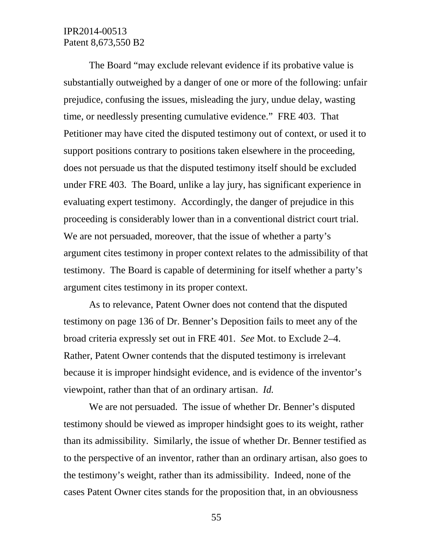The Board "may exclude relevant evidence if its probative value is substantially outweighed by a danger of one or more of the following: unfair prejudice, confusing the issues, misleading the jury, undue delay, wasting time, or needlessly presenting cumulative evidence." FRE 403. That Petitioner may have cited the disputed testimony out of context, or used it to support positions contrary to positions taken elsewhere in the proceeding, does not persuade us that the disputed testimony itself should be excluded under FRE 403. The Board, unlike a lay jury, has significant experience in evaluating expert testimony. Accordingly, the danger of prejudice in this proceeding is considerably lower than in a conventional district court trial. We are not persuaded, moreover, that the issue of whether a party's argument cites testimony in proper context relates to the admissibility of that testimony. The Board is capable of determining for itself whether a party's argument cites testimony in its proper context.

As to relevance, Patent Owner does not contend that the disputed testimony on page 136 of Dr. Benner's Deposition fails to meet any of the broad criteria expressly set out in FRE 401. *See* Mot. to Exclude 2–4. Rather, Patent Owner contends that the disputed testimony is irrelevant because it is improper hindsight evidence, and is evidence of the inventor's viewpoint, rather than that of an ordinary artisan. *Id.*

We are not persuaded. The issue of whether Dr. Benner's disputed testimony should be viewed as improper hindsight goes to its weight, rather than its admissibility. Similarly, the issue of whether Dr. Benner testified as to the perspective of an inventor, rather than an ordinary artisan, also goes to the testimony's weight, rather than its admissibility. Indeed, none of the cases Patent Owner cites stands for the proposition that, in an obviousness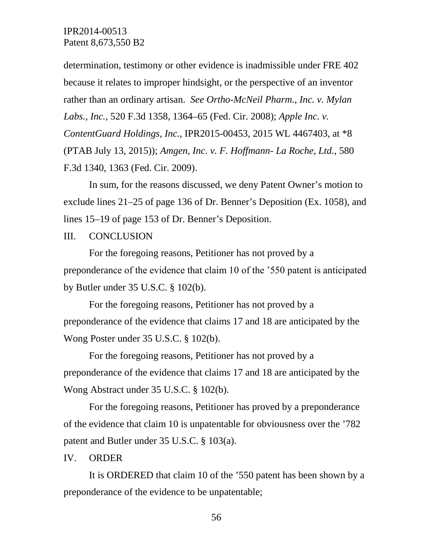determination, testimony or other evidence is inadmissible under FRE 402 because it relates to improper hindsight, or the perspective of an inventor rather than an ordinary artisan. *See Ortho-McNeil Pharm., Inc. v. Mylan Labs., Inc.*, 520 F.3d 1358, 1364–65 (Fed. Cir. 2008); *Apple Inc. v. ContentGuard Holdings, Inc.*, IPR2015-00453, 2015 WL 4467403, at \*8 (PTAB July 13, 2015)); *Amgen, Inc. v. F. Hoffmann- La Roche, Ltd.*, 580 F.3d 1340, 1363 (Fed. Cir. 2009).

In sum, for the reasons discussed, we deny Patent Owner's motion to exclude lines 21–25 of page 136 of Dr. Benner's Deposition (Ex. 1058), and lines 15–19 of page 153 of Dr. Benner's Deposition.

III. CONCLUSION

For the foregoing reasons, Petitioner has not proved by a preponderance of the evidence that claim 10 of the '550 patent is anticipated by Butler under 35 U.S.C. § 102(b).

For the foregoing reasons, Petitioner has not proved by a preponderance of the evidence that claims 17 and 18 are anticipated by the Wong Poster under 35 U.S.C. § 102(b).

For the foregoing reasons, Petitioner has not proved by a preponderance of the evidence that claims 17 and 18 are anticipated by the Wong Abstract under 35 U.S.C. § 102(b).

For the foregoing reasons, Petitioner has proved by a preponderance of the evidence that claim 10 is unpatentable for obviousness over the '782 patent and Butler under 35 U.S.C. § 103(a).

IV. ORDER

It is ORDERED that claim 10 of the '550 patent has been shown by a preponderance of the evidence to be unpatentable;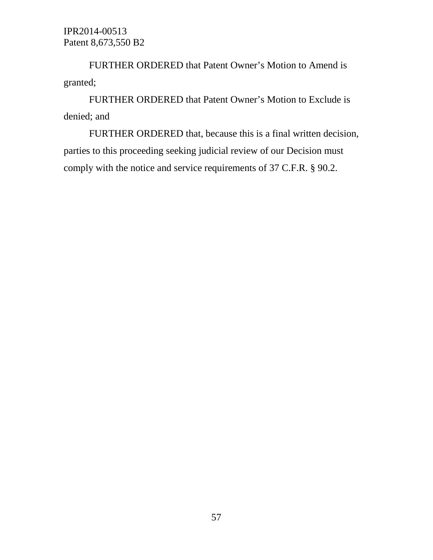FURTHER ORDERED that Patent Owner's Motion to Amend is granted;

FURTHER ORDERED that Patent Owner's Motion to Exclude is denied; and

FURTHER ORDERED that, because this is a final written decision, parties to this proceeding seeking judicial review of our Decision must comply with the notice and service requirements of 37 C.F.R. § 90.2.